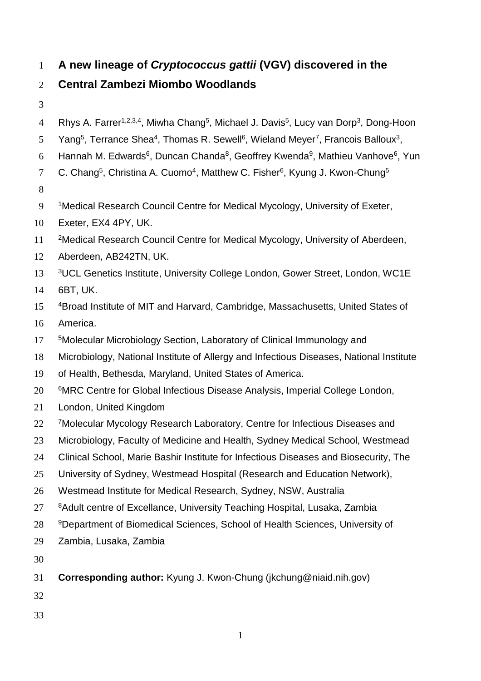# **A new lineage of** *Cryptococcus gattii* **(VGV) discovered in the**

# **Central Zambezi Miombo Woodlands**

- 
- 4 Rhys A. Farrer<sup>1,2,3,4</sup>, Miwha Chang<sup>5</sup>, Michael J. Davis<sup>5</sup>, Lucy van Dorp<sup>3</sup>, Dong-Hoon
- 5 Yang<sup>5</sup>, Terrance Shea<sup>4</sup>, Thomas R. Sewell<sup>6</sup>, Wieland Meyer<sup>7</sup>, Francois Balloux<sup>3</sup>,
- 6 Hannah M. Edwards<sup>6</sup>, Duncan Chanda<sup>8</sup>, Geoffrey Kwenda<sup>9</sup>, Mathieu Vanhove<sup>6</sup>, Yun
- 7 C. Chang<sup>5</sup>, Christina A. Cuomo<sup>4</sup>, Matthew C. Fisher<sup>6</sup>, Kyung J. Kwon-Chung<sup>5</sup>
- 
- Medical Research Council Centre for Medical Mycology, University of Exeter,
- Exeter, EX4 4PY, UK.
- 11 <sup>2</sup>Medical Research Council Centre for Medical Mycology, University of Aberdeen,
- Aberdeen, AB242TN, UK.
- 13 <sup>3</sup>UCL Genetics Institute, University College London, Gower Street, London, WC1E
- 6BT, UK.
- <sup>4</sup>Broad Institute of MIT and Harvard, Cambridge, Massachusetts, United States of America.
- 17 <sup>5</sup>Molecular Microbiology Section, Laboratory of Clinical Immunology and
- Microbiology, National Institute of Allergy and Infectious Diseases, National Institute
- of Health, Bethesda, Maryland, United States of America.
- <sup>6</sup>MRC Centre for Global Infectious Disease Analysis, Imperial College London,
- London, United Kingdom
- 22 7Molecular Mycology Research Laboratory, Centre for Infectious Diseases and
- Microbiology, Faculty of Medicine and Health, Sydney Medical School, Westmead
- Clinical School, Marie Bashir Institute for Infectious Diseases and Biosecurity, The
- University of Sydney, Westmead Hospital (Research and Education Network),
- Westmead Institute for Medical Research, Sydney, NSW, Australia
- 27 8Adult centre of Excellance, University Teaching Hospital, Lusaka, Zambia
- 28 9Department of Biomedical Sciences, School of Health Sciences, University of
- Zambia, Lusaka, Zambia
- 
- **Corresponding author:** Kyung J. Kwon-Chung (jkchung@niaid.nih.gov)
- 
-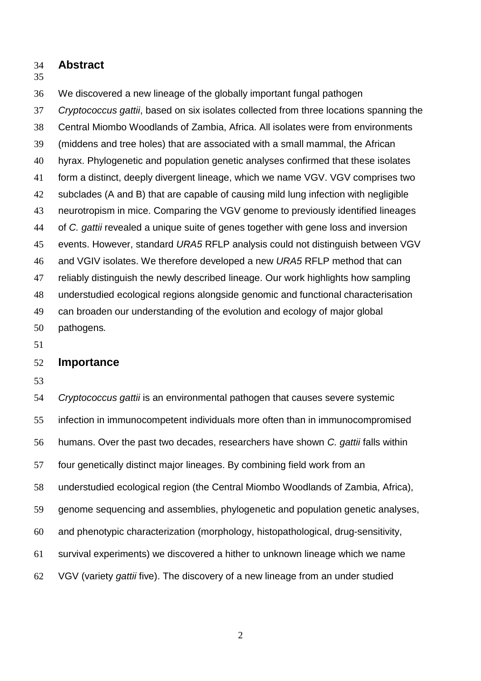**Abstract**

#### 

We discovered a new lineage of the globally important fungal pathogen

 *Cryptococcus gattii*, based on six isolates collected from three locations spanning the Central Miombo Woodlands of Zambia, Africa. All isolates were from environments (middens and tree holes) that are associated with a small mammal, the African hyrax. Phylogenetic and population genetic analyses confirmed that these isolates form a distinct, deeply divergent lineage, which we name VGV. VGV comprises two subclades (A and B) that are capable of causing mild lung infection with negligible neurotropism in mice. Comparing the VGV genome to previously identified lineages of *C. gattii* revealed a unique suite of genes together with gene loss and inversion events. However, standard *URA5* RFLP analysis could not distinguish between VGV and VGIV isolates. We therefore developed a new *URA5* RFLP method that can reliably distinguish the newly described lineage. Our work highlights how sampling understudied ecological regions alongside genomic and functional characterisation can broaden our understanding of the evolution and ecology of major global pathogens*.*

### **Importance**

 *Cryptococcus gattii* is an environmental pathogen that causes severe systemic infection in immunocompetent individuals more often than in immunocompromised humans. Over the past two decades, researchers have shown *C. gattii* falls within four genetically distinct major lineages. By combining field work from an understudied ecological region (the Central Miombo Woodlands of Zambia, Africa), genome sequencing and assemblies, phylogenetic and population genetic analyses, and phenotypic characterization (morphology, histopathological, drug-sensitivity, survival experiments) we discovered a hither to unknown lineage which we name VGV (variety *gattii* five). The discovery of a new lineage from an under studied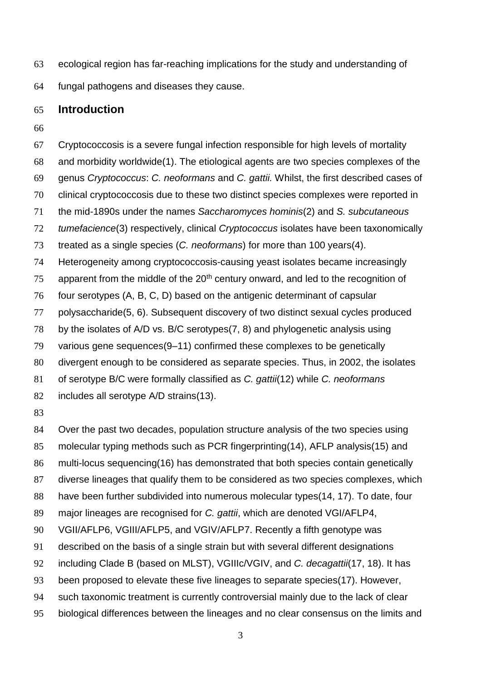- ecological region has far-reaching implications for the study and understanding of
- fungal pathogens and diseases they cause.

### **Introduction**

 Cryptococcosis is a severe fungal infection responsible for high levels of mortality and morbidity worldwide(1). The etiological agents are two species complexes of the genus *Cryptococcus*: *C. neoformans* and *C. gattii.* Whilst, the first described cases of clinical cryptococcosis due to these two distinct species complexes were reported in the mid-1890s under the names *Saccharomyces hominis*(2) and *S. subcutaneous tumefacience*(3) respectively, clinical *Cryptococcus* isolates have been taxonomically treated as a single species (*C. neoformans*) for more than 100 years(4). Heterogeneity among cryptococcosis-causing yeast isolates became increasingly apparent from the middle of the  $20<sup>th</sup>$  century onward, and led to the recognition of four serotypes (A, B, C, D) based on the antigenic determinant of capsular polysaccharide(5, 6). Subsequent discovery of two distinct sexual cycles produced by the isolates of A/D vs. B/C serotypes(7, 8) and phylogenetic analysis using various gene sequences(9–11) confirmed these complexes to be genetically divergent enough to be considered as separate species. Thus, in 2002, the isolates of serotype B/C were formally classified as *C. gattii*(12) while *C. neoformans* includes all serotype A/D strains(13). Over the past two decades, population structure analysis of the two species using molecular typing methods such as PCR fingerprinting(14), AFLP analysis(15) and multi-locus sequencing(16) has demonstrated that both species contain genetically diverse lineages that qualify them to be considered as two species complexes, which

- have been further subdivided into numerous molecular types(14, 17). To date, four
- major lineages are recognised for *C. gattii*, which are denoted VGI/AFLP4,
- VGII/AFLP6, VGIII/AFLP5, and VGIV/AFLP7. Recently a fifth genotype was
- described on the basis of a single strain but with several different designations
- including Clade B (based on MLST), VGIIIc/VGIV, and *C. decagattii*(17, 18). It has
- been proposed to elevate these five lineages to separate species(17). However,
- such taxonomic treatment is currently controversial mainly due to the lack of clear
- biological differences between the lineages and no clear consensus on the limits and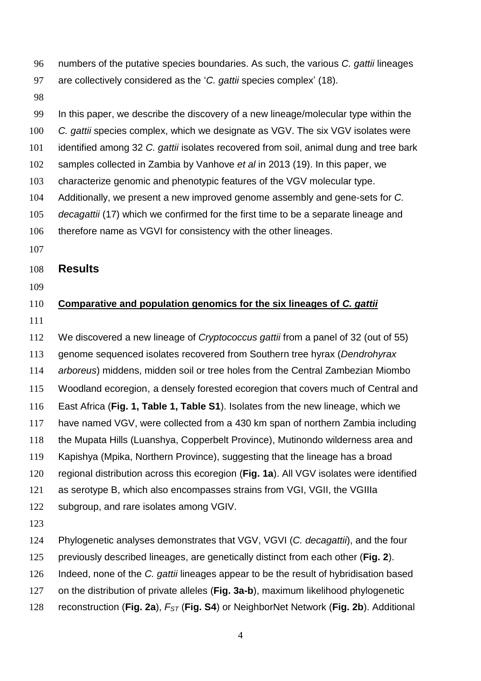- numbers of the putative species boundaries. As such, the various *C. gattii* lineages
- are collectively considered as the '*C. gattii* species complex' (18).
- 

In this paper, we describe the discovery of a new lineage/molecular type within the

- *C. gattii* species complex, which we designate as VGV. The six VGV isolates were
- identified among 32 *C. gattii* isolates recovered from soil, animal dung and tree bark
- samples collected in Zambia by Vanhove *et al* in 2013 (19). In this paper, we
- characterize genomic and phenotypic features of the VGV molecular type.
- Additionally, we present a new improved genome assembly and gene-sets for *C.*
- *decagattii* (17) which we confirmed for the first time to be a separate lineage and
- therefore name as VGVI for consistency with the other lineages.
- 

### **Results**

# **Comparative and population genomics for the six lineages of** *C. gattii*

 We discovered a new lineage of *Cryptococcus gattii* from a panel of 32 (out of 55) genome sequenced isolates recovered from Southern tree hyrax (*Dendrohyrax arboreus*) middens, midden soil or tree holes from the Central Zambezian Miombo Woodland ecoregion, a densely forested ecoregion that covers much of Central and East Africa (**Fig. 1, Table 1, Table S1**). Isolates from the new lineage, which we have named VGV, were collected from a 430 km span of northern Zambia including the Mupata Hills (Luanshya, Copperbelt Province), Mutinondo wilderness area and Kapishya (Mpika, Northern Province), suggesting that the lineage has a broad regional distribution across this ecoregion (**Fig. 1a**). All VGV isolates were identified as serotype B, which also encompasses strains from VGI, VGII, the VGIIIa subgroup, and rare isolates among VGIV. Phylogenetic analyses demonstrates that VGV, VGVI (*C. decagattii*), and the four previously described lineages, are genetically distinct from each other (**Fig. 2**). Indeed, none of the *C. gattii* lineages appear to be the result of hybridisation based on the distribution of private alleles (**Fig. 3a-b**), maximum likelihood phylogenetic

reconstruction (**Fig. 2a**), *FST* (**Fig. S4**) or NeighborNet Network (**Fig. 2b**). Additional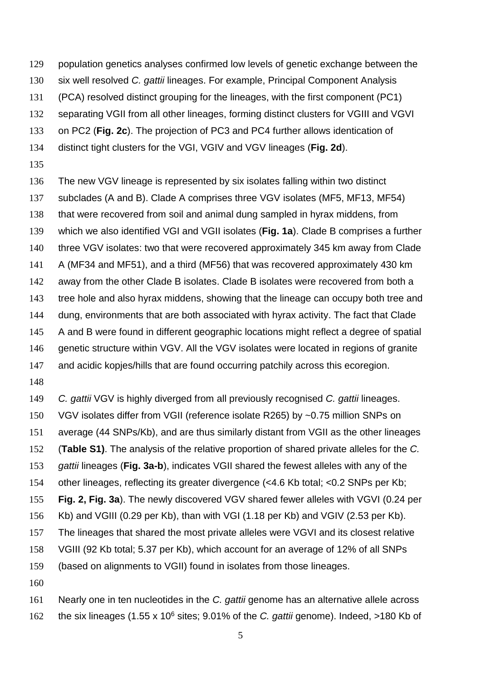- population genetics analyses confirmed low levels of genetic exchange between the
- six well resolved *C. gattii* lineages. For example, Principal Component Analysis
- (PCA) resolved distinct grouping for the lineages, with the first component (PC1)
- separating VGII from all other lineages, forming distinct clusters for VGIII and VGVI
- on PC2 (**Fig. 2c**). The projection of PC3 and PC4 further allows identication of
- distinct tight clusters for the VGI, VGIV and VGV lineages (**Fig. 2d**).
- 
- The new VGV lineage is represented by six isolates falling within two distinct subclades (A and B). Clade A comprises three VGV isolates (MF5, MF13, MF54) that were recovered from soil and animal dung sampled in hyrax middens, from which we also identified VGI and VGII isolates (**Fig. 1a**). Clade B comprises a further three VGV isolates: two that were recovered approximately 345 km away from Clade A (MF34 and MF51), and a third (MF56) that was recovered approximately 430 km away from the other Clade B isolates. Clade B isolates were recovered from both a tree hole and also hyrax middens, showing that the lineage can occupy both tree and dung, environments that are both associated with hyrax activity. The fact that Clade A and B were found in different geographic locations might reflect a degree of spatial genetic structure within VGV. All the VGV isolates were located in regions of granite
- and acidic kopjes/hills that are found occurring patchily across this ecoregion.
- 
- *C. gattii* VGV is highly diverged from all previously recognised *C. gattii* lineages. VGV isolates differ from VGII (reference isolate R265) by ~0.75 million SNPs on average (44 SNPs/Kb), and are thus similarly distant from VGII as the other lineages (**Table S1)**. The analysis of the relative proportion of shared private alleles for the *C. gattii* lineages (**Fig. 3a-b**), indicates VGII shared the fewest alleles with any of the other lineages, reflecting its greater divergence (<4.6 Kb total; <0.2 SNPs per Kb; **Fig. 2, Fig. 3a**). The newly discovered VGV shared fewer alleles with VGVI (0.24 per Kb) and VGIII (0.29 per Kb), than with VGI (1.18 per Kb) and VGIV (2.53 per Kb). The lineages that shared the most private alleles were VGVI and its closest relative VGIII (92 Kb total; 5.37 per Kb), which account for an average of 12% of all SNPs (based on alignments to VGII) found in isolates from those lineages.
- Nearly one in ten nucleotides in the *C. gattii* genome has an alternative allele across 162 the six lineages (1.55 x 10<sup>6</sup> sites; 9.01% of the *C. gattii* genome). Indeed, >180 Kb of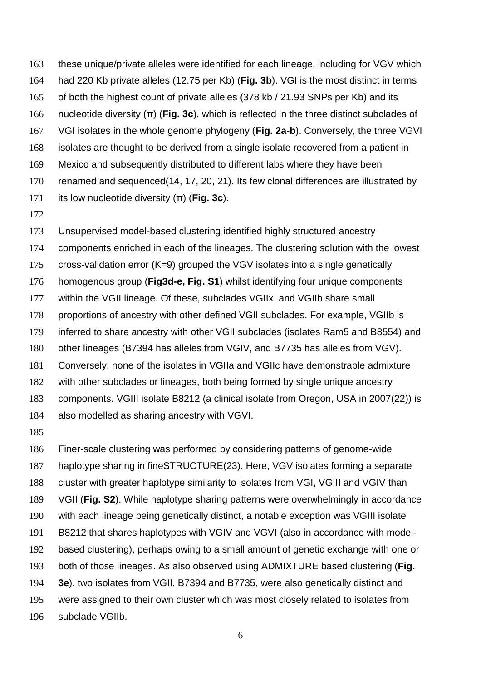these unique/private alleles were identified for each lineage, including for VGV which had 220 Kb private alleles (12.75 per Kb) (**Fig. 3b**). VGI is the most distinct in terms of both the highest count of private alleles (378 kb / 21.93 SNPs per Kb) and its nucleotide diversity (π) (**Fig. 3c**), which is reflected in the three distinct subclades of VGI isolates in the whole genome phylogeny (**Fig. 2a-b**). Conversely, the three VGVI isolates are thought to be derived from a single isolate recovered from a patient in Mexico and subsequently distributed to different labs where they have been renamed and sequenced(14, 17, 20, 21). Its few clonal differences are illustrated by its low nucleotide diversity (π) (**Fig. 3c**).

 Unsupervised model-based clustering identified highly structured ancestry components enriched in each of the lineages. The clustering solution with the lowest cross-validation error (K=9) grouped the VGV isolates into a single genetically homogenous group (**Fig3d-e, Fig. S1**) whilst identifying four unique components within the VGII lineage. Of these, subclades VGIIx and VGIIb share small proportions of ancestry with other defined VGII subclades. For example, VGIIb is inferred to share ancestry with other VGII subclades (isolates Ram5 and B8554) and other lineages (B7394 has alleles from VGIV, and B7735 has alleles from VGV). Conversely, none of the isolates in VGIIa and VGIIc have demonstrable admixture with other subclades or lineages, both being formed by single unique ancestry components. VGIII isolate B8212 (a clinical isolate from Oregon, USA in 2007(22)) is also modelled as sharing ancestry with VGVI.

 Finer-scale clustering was performed by considering patterns of genome-wide haplotype sharing in fineSTRUCTURE(23). Here, VGV isolates forming a separate cluster with greater haplotype similarity to isolates from VGI, VGIII and VGIV than VGII (**Fig. S2**). While haplotype sharing patterns were overwhelmingly in accordance with each lineage being genetically distinct, a notable exception was VGIII isolate B8212 that shares haplotypes with VGIV and VGVI (also in accordance with model- based clustering), perhaps owing to a small amount of genetic exchange with one or both of those lineages. As also observed using ADMIXTURE based clustering (**Fig. 3e**), two isolates from VGII, B7394 and B7735, were also genetically distinct and were assigned to their own cluster which was most closely related to isolates from subclade VGIIb.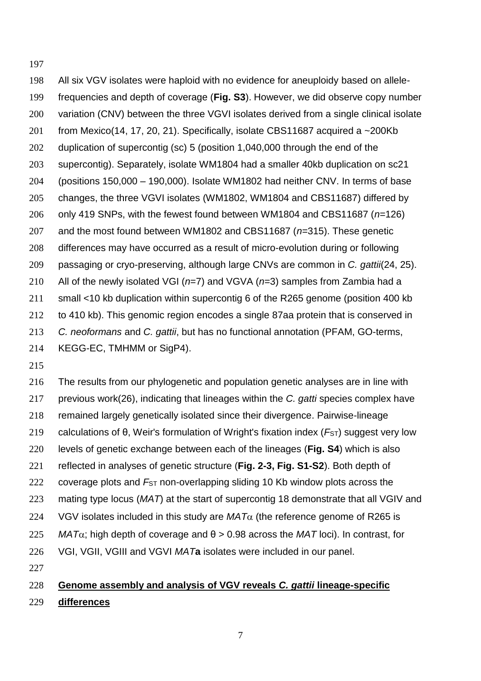All six VGV isolates were haploid with no evidence for aneuploidy based on allele- frequencies and depth of coverage (**Fig. S3**). However, we did observe copy number variation (CNV) between the three VGVI isolates derived from a single clinical isolate 201 from Mexico(14, 17, 20, 21). Specifically, isolate CBS11687 acquired a ~200Kb duplication of supercontig (sc) 5 (position 1,040,000 through the end of the supercontig). Separately, isolate WM1804 had a smaller 40kb duplication on sc21 (positions 150,000 – 190,000). Isolate WM1802 had neither CNV. In terms of base changes, the three VGVI isolates (WM1802, WM1804 and CBS11687) differed by only 419 SNPs, with the fewest found between WM1804 and CBS11687 (*n*=126) and the most found between WM1802 and CBS11687 (*n*=315). These genetic differences may have occurred as a result of micro-evolution during or following passaging or cryo-preserving, although large CNVs are common in *C. gattii*(24, 25). All of the newly isolated VGI (*n*=7) and VGVA (*n*=3) samples from Zambia had a small <10 kb duplication within supercontig 6 of the R265 genome (position 400 kb to 410 kb). This genomic region encodes a single 87aa protein that is conserved in *C. neoformans* and *C. gattii*, but has no functional annotation (PFAM, GO-terms, KEGG-EC, TMHMM or SigP4).

 The results from our phylogenetic and population genetic analyses are in line with previous work(26), indicating that lineages within the *C. gatti* species complex have remained largely genetically isolated since their divergence. Pairwise-lineage 219 calculations of θ, Weir's formulation of Wright's fixation index (F<sub>ST</sub>) suggest very low levels of genetic exchange between each of the lineages (**Fig. S4**) which is also reflected in analyses of genetic structure (**Fig. 2-3, Fig. S1-S2**). Both depth of coverage plots and *F*ST non-overlapping sliding 10 Kb window plots across the mating type locus (*MAT*) at the start of supercontig 18 demonstrate that all VGIV and 224 VGV isolates included in this study are  $MAT\alpha$  (the reference genome of R265 is *MAT* $\alpha$ ; high depth of coverage and  $\theta > 0.98$  across the *MAT* loci). In contrast, for VGI, VGII, VGIII and VGVI *MAT***a** isolates were included in our panel. 

## **Genome assembly and analysis of VGV reveals** *C. gattii* **lineage-specific differences**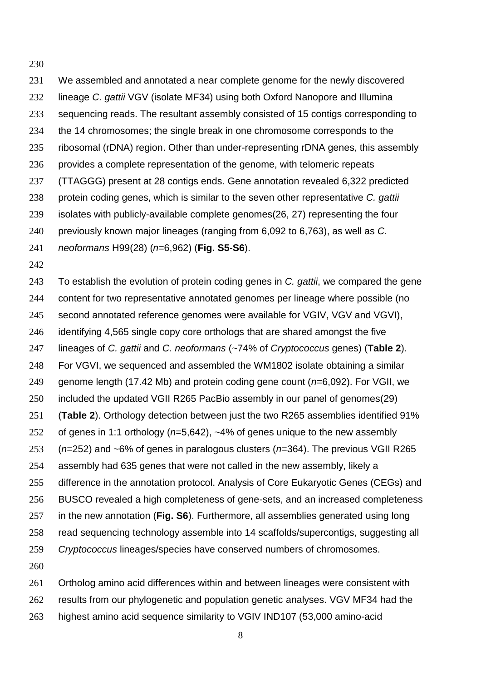We assembled and annotated a near complete genome for the newly discovered lineage *C. gattii* VGV (isolate MF34) using both Oxford Nanopore and Illumina sequencing reads. The resultant assembly consisted of 15 contigs corresponding to the 14 chromosomes; the single break in one chromosome corresponds to the ribosomal (rDNA) region. Other than under-representing rDNA genes, this assembly provides a complete representation of the genome, with telomeric repeats (TTAGGG) present at 28 contigs ends. Gene annotation revealed 6,322 predicted protein coding genes, which is similar to the seven other representative *C. gattii* isolates with publicly-available complete genomes(26, 27) representing the four previously known major lineages (ranging from 6,092 to 6,763), as well as *C. neoformans* H99(28) (*n*=6,962) (**Fig. S5-S6**).

 To establish the evolution of protein coding genes in *C. gattii*, we compared the gene content for two representative annotated genomes per lineage where possible (no second annotated reference genomes were available for VGIV, VGV and VGVI), identifying 4,565 single copy core orthologs that are shared amongst the five lineages of *C. gattii* and *C. neoformans* (~74% of *Cryptococcus* genes) (**Table 2**). For VGVI, we sequenced and assembled the WM1802 isolate obtaining a similar genome length (17.42 Mb) and protein coding gene count (*n*=6,092). For VGII, we included the updated VGII R265 PacBio assembly in our panel of genomes(29) (**Table 2**). Orthology detection between just the two R265 assemblies identified 91% of genes in 1:1 orthology (*n*=5,642), ~4% of genes unique to the new assembly (*n*=252) and ~6% of genes in paralogous clusters (*n*=364). The previous VGII R265 assembly had 635 genes that were not called in the new assembly, likely a difference in the annotation protocol. Analysis of Core Eukaryotic Genes (CEGs) and BUSCO revealed a high completeness of gene-sets, and an increased completeness in the new annotation (**Fig. S6**). Furthermore, all assemblies generated using long read sequencing technology assemble into 14 scaffolds/supercontigs, suggesting all *Cryptococcus* lineages/species have conserved numbers of chromosomes. 

 Ortholog amino acid differences within and between lineages were consistent with results from our phylogenetic and population genetic analyses. VGV MF34 had the highest amino acid sequence similarity to VGIV IND107 (53,000 amino-acid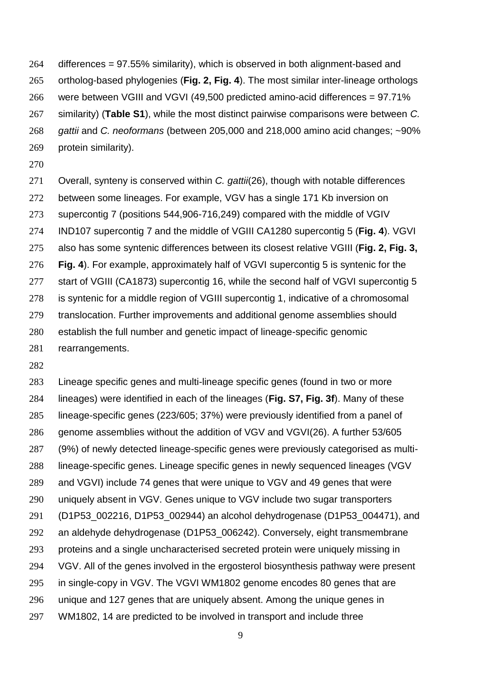differences = 97.55% similarity), which is observed in both alignment-based and ortholog-based phylogenies (**Fig. 2, Fig. 4**). The most similar inter-lineage orthologs were between VGIII and VGVI (49,500 predicted amino-acid differences = 97.71% similarity) (**Table S1**), while the most distinct pairwise comparisons were between *C. gattii* and *C. neoformans* (between 205,000 and 218,000 amino acid changes; ~90% protein similarity).

 Overall, synteny is conserved within *C. gattii*(26), though with notable differences between some lineages. For example, VGV has a single 171 Kb inversion on supercontig 7 (positions 544,906-716,249) compared with the middle of VGIV IND107 supercontig 7 and the middle of VGIII CA1280 supercontig 5 (**Fig. 4**). VGVI also has some syntenic differences between its closest relative VGIII (**Fig. 2, Fig. 3, Fig. 4**). For example, approximately half of VGVI supercontig 5 is syntenic for the 277 start of VGIII (CA1873) supercontig 16, while the second half of VGVI supercontig 5 is syntenic for a middle region of VGIII supercontig 1, indicative of a chromosomal translocation. Further improvements and additional genome assemblies should establish the full number and genetic impact of lineage-specific genomic rearrangements.

 Lineage specific genes and multi-lineage specific genes (found in two or more lineages) were identified in each of the lineages (**Fig. S7, Fig. 3f**). Many of these lineage-specific genes (223/605; 37%) were previously identified from a panel of genome assemblies without the addition of VGV and VGVI(26). A further 53/605 (9%) of newly detected lineage-specific genes were previously categorised as multi- lineage-specific genes. Lineage specific genes in newly sequenced lineages (VGV and VGVI) include 74 genes that were unique to VGV and 49 genes that were uniquely absent in VGV. Genes unique to VGV include two sugar transporters (D1P53\_002216, D1P53\_002944) an alcohol dehydrogenase (D1P53\_004471), and an aldehyde dehydrogenase (D1P53\_006242). Conversely, eight transmembrane proteins and a single uncharacterised secreted protein were uniquely missing in VGV. All of the genes involved in the ergosterol biosynthesis pathway were present in single-copy in VGV. The VGVI WM1802 genome encodes 80 genes that are unique and 127 genes that are uniquely absent. Among the unique genes in WM1802, 14 are predicted to be involved in transport and include three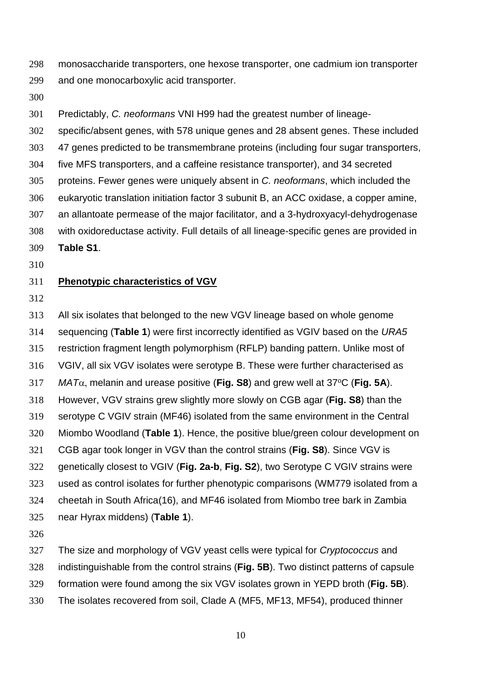monosaccharide transporters, one hexose transporter, one cadmium ion transporter and one monocarboxylic acid transporter.

Predictably, *C. neoformans* VNI H99 had the greatest number of lineage-

specific/absent genes, with 578 unique genes and 28 absent genes. These included

47 genes predicted to be transmembrane proteins (including four sugar transporters,

five MFS transporters, and a caffeine resistance transporter), and 34 secreted

proteins. Fewer genes were uniquely absent in *C. neoformans*, which included the

eukaryotic translation initiation factor 3 subunit B, an ACC oxidase, a copper amine,

an allantoate permease of the major facilitator, and a 3-hydroxyacyl-dehydrogenase

 with oxidoreductase activity. Full details of all lineage-specific genes are provided in **Table S1**.

### **Phenotypic characteristics of VGV**

 All six isolates that belonged to the new VGV lineage based on whole genome sequencing (**Table 1**) were first incorrectly identified as VGIV based on the *URA5* restriction fragment length polymorphism (RFLP) banding pattern. Unlike most of VGIV, all six VGV isolates were serotype B. These were further characterised as  $MAT\alpha$ , melanin and urease positive (**Fig. S8**) and grew well at 37<sup>o</sup>C (**Fig. 5A**). However, VGV strains grew slightly more slowly on CGB agar (**Fig. S8**) than the serotype C VGIV strain (MF46) isolated from the same environment in the Central Miombo Woodland (**Table 1**). Hence, the positive blue/green colour development on CGB agar took longer in VGV than the control strains (**Fig. S8**). Since VGV is genetically closest to VGIV (**Fig. 2a-b**, **Fig. S2**), two Serotype C VGIV strains were used as control isolates for further phenotypic comparisons (WM779 isolated from a cheetah in South Africa(16), and MF46 isolated from Miombo tree bark in Zambia near Hyrax middens) (**Table 1**).

The size and morphology of VGV yeast cells were typical for *Cryptococcus* and

indistinguishable from the control strains (**Fig. 5B**). Two distinct patterns of capsule

formation were found among the six VGV isolates grown in YEPD broth (**Fig. 5B**).

The isolates recovered from soil, Clade A (MF5, MF13, MF54), produced thinner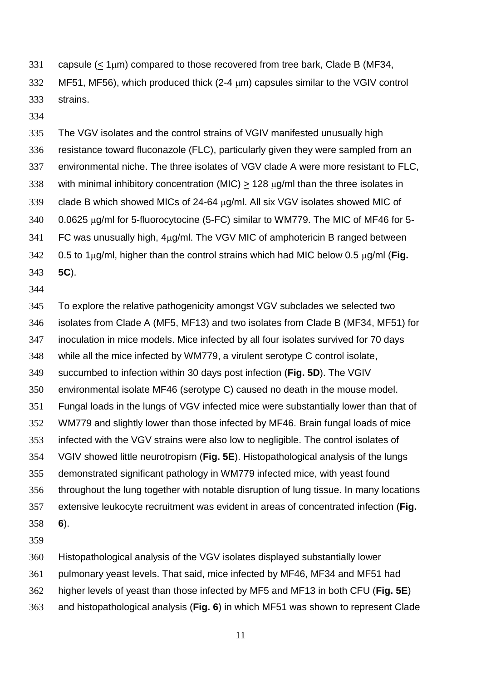- 331 capsule  $(< 1 \mu m)$  compared to those recovered from tree bark, Clade B (MF34, MF51, MF56), which produced thick (2-4  $\mu$ m) capsules similar to the VGIV control strains.
- 

 The VGV isolates and the control strains of VGIV manifested unusually high resistance toward fluconazole (FLC), particularly given they were sampled from an environmental niche. The three isolates of VGV clade A were more resistant to FLC, 338 with minimal inhibitory concentration (MIC)  $\geq$  128  $\mu$ g/ml than the three isolates in 339 clade B which showed MICs of 24-64  $\mu$ g/ml. All six VGV isolates showed MIC of 0.0625  $\mu$ g/ml for 5-fluorocytocine (5-FC) similar to WM779. The MIC of MF46 for 5- FC was unusually high,  $4\mu$ g/ml. The VGV MIC of amphotericin B ranged between  $0.5$  to 1 $\mu$ g/ml, higher than the control strains which had MIC below 0.5  $\mu$ g/ml (**Fig.**) **5C**).

 To explore the relative pathogenicity amongst VGV subclades we selected two isolates from Clade A (MF5, MF13) and two isolates from Clade B (MF34, MF51) for inoculation in mice models. Mice infected by all four isolates survived for 70 days while all the mice infected by WM779, a virulent serotype C control isolate, succumbed to infection within 30 days post infection (**Fig. 5D**). The VGIV environmental isolate MF46 (serotype C) caused no death in the mouse model. Fungal loads in the lungs of VGV infected mice were substantially lower than that of WM779 and slightly lower than those infected by MF46. Brain fungal loads of mice infected with the VGV strains were also low to negligible. The control isolates of VGIV showed little neurotropism (**Fig. 5E**). Histopathological analysis of the lungs demonstrated significant pathology in WM779 infected mice, with yeast found throughout the lung together with notable disruption of lung tissue. In many locations extensive leukocyte recruitment was evident in areas of concentrated infection (**Fig. 6**). 

Histopathological analysis of the VGV isolates displayed substantially lower

- pulmonary yeast levels. That said, mice infected by MF46, MF34 and MF51 had
- higher levels of yeast than those infected by MF5 and MF13 in both CFU (**Fig. 5E**)
- and histopathological analysis (**Fig. 6**) in which MF51 was shown to represent Clade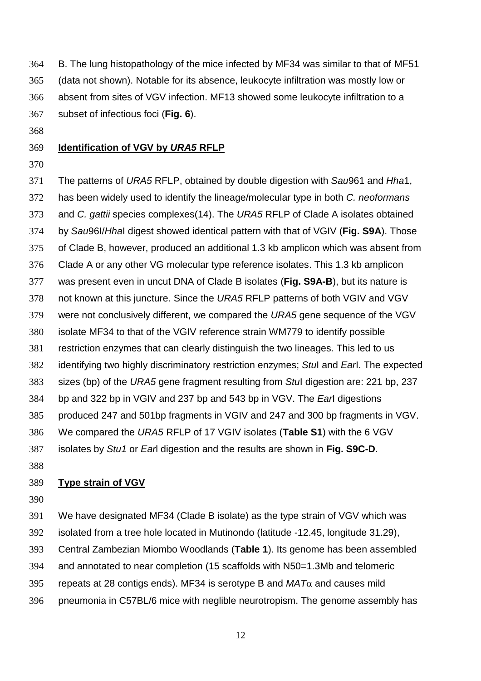B. The lung histopathology of the mice infected by MF34 was similar to that of MF51 (data not shown). Notable for its absence, leukocyte infiltration was mostly low or absent from sites of VGV infection. MF13 showed some leukocyte infiltration to a subset of infectious foci (**Fig. 6**).

### **Identification of VGV by** *URA5* **RFLP**

 The patterns of *URA5* RFLP, obtained by double digestion with *Sau*961 and *Hha*1, has been widely used to identify the lineage/molecular type in both *C. neoformans* and *C. gattii* species complexes(14). The *URA5* RFLP of Clade A isolates obtained by *Sau*96I/*Hha*I digest showed identical pattern with that of VGIV (**Fig. S9A**). Those of Clade B, however, produced an additional 1.3 kb amplicon which was absent from Clade A or any other VG molecular type reference isolates. This 1.3 kb amplicon was present even in uncut DNA of Clade B isolates (**Fig. S9A-B**), but its nature is not known at this juncture. Since the *URA5* RFLP patterns of both VGIV and VGV were not conclusively different, we compared the *URA5* gene sequence of the VGV isolate MF34 to that of the VGIV reference strain WM779 to identify possible restriction enzymes that can clearly distinguish the two lineages. This led to us identifying two highly discriminatory restriction enzymes; *Stu*I and *Ear*I. The expected sizes (bp) of the *URA5* gene fragment resulting from *Stu*I digestion are: 221 bp, 237 bp and 322 bp in VGIV and 237 bp and 543 bp in VGV. The *Ear*I digestions produced 247 and 501bp fragments in VGIV and 247 and 300 bp fragments in VGV. We compared the *URA5* RFLP of 17 VGIV isolates (**Table S1**) with the 6 VGV isolates by *Stu1* or *Ear*l digestion and the results are shown in **Fig. S9C-D**.

### **Type strain of VGV**

 We have designated MF34 (Clade B isolate) as the type strain of VGV which was isolated from a tree hole located in Mutinondo (latitude -12.45, longitude 31.29), Central Zambezian Miombo Woodlands (**Table 1**). Its genome has been assembled and annotated to near completion (15 scaffolds with N50=1.3Mb and telomeric 395 repeats at 28 contigs ends). MF34 is serotype B and  $MAT\alpha$  and causes mild pneumonia in C57BL/6 mice with neglible neurotropism. The genome assembly has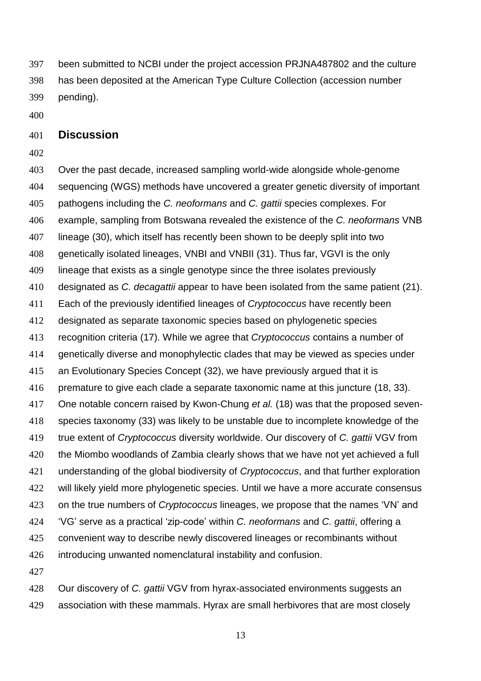been submitted to NCBI under the project accession PRJNA487802 and the culture has been deposited at the American Type Culture Collection (accession number pending).

### **Discussion**

 Over the past decade, increased sampling world-wide alongside whole-genome sequencing (WGS) methods have uncovered a greater genetic diversity of important pathogens including the *C. neoformans* and *C. gattii* species complexes. For example, sampling from Botswana revealed the existence of the *C. neoformans* VNB lineage (30), which itself has recently been shown to be deeply split into two genetically isolated lineages, VNBI and VNBII (31). Thus far, VGVI is the only lineage that exists as a single genotype since the three isolates previously designated as *C. decagattii* appear to have been isolated from the same patient (21). Each of the previously identified lineages of *Cryptococcus* have recently been designated as separate taxonomic species based on phylogenetic species recognition criteria (17). While we agree that *Cryptococcus* contains a number of genetically diverse and monophylectic clades that may be viewed as species under an Evolutionary Species Concept (32), we have previously argued that it is premature to give each clade a separate taxonomic name at this juncture (18, 33). One notable concern raised by Kwon-Chung *et al.* (18) was that the proposed seven- species taxonomy (33) was likely to be unstable due to incomplete knowledge of the true extent of *Cryptococcus* diversity worldwide. Our discovery of *C. gattii* VGV from the Miombo woodlands of Zambia clearly shows that we have not yet achieved a full understanding of the global biodiversity of *Cryptococcus*, and that further exploration 422 will likely yield more phylogenetic species. Until we have a more accurate consensus on the true numbers of *Cryptococcus* lineages, we propose that the names 'VN' and 'VG' serve as a practical 'zip-code' within *C. neoformans* and *C. gattii*, offering a convenient way to describe newly discovered lineages or recombinants without introducing unwanted nomenclatural instability and confusion. 

 Our discovery of *C. gattii* VGV from hyrax-associated environments suggests an association with these mammals. Hyrax are small herbivores that are most closely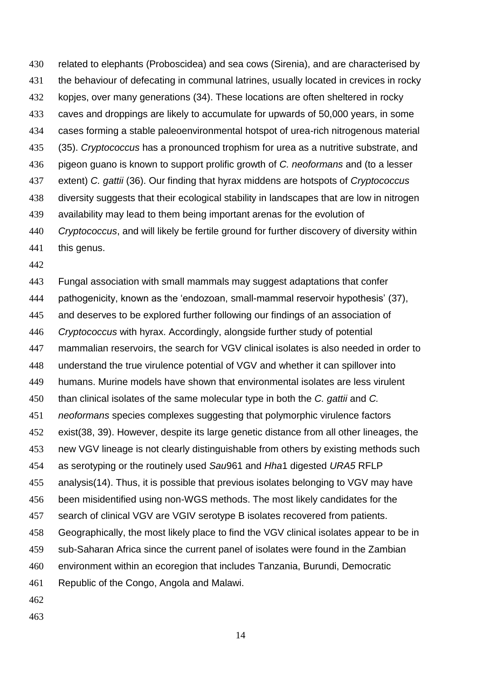related to elephants (Proboscidea) and sea cows (Sirenia), and are characterised by the behaviour of defecating in communal latrines, usually located in crevices in rocky kopjes, over many generations (34). These locations are often sheltered in rocky caves and droppings are likely to accumulate for upwards of 50,000 years, in some cases forming a stable paleoenvironmental hotspot of urea-rich nitrogenous material (35). *Cryptococcus* has a pronounced trophism for urea as a nutritive substrate, and pigeon guano is known to support prolific growth of *C. neoformans* and (to a lesser extent) *C. gattii* (36). Our finding that hyrax middens are hotspots of *Cryptococcus*  diversity suggests that their ecological stability in landscapes that are low in nitrogen availability may lead to them being important arenas for the evolution of *Cryptococcus*, and will likely be fertile ground for further discovery of diversity within this genus.

 Fungal association with small mammals may suggest adaptations that confer pathogenicity, known as the 'endozoan, small-mammal reservoir hypothesis' (37), and deserves to be explored further following our findings of an association of *Cryptococcus* with hyrax. Accordingly, alongside further study of potential mammalian reservoirs, the search for VGV clinical isolates is also needed in order to understand the true virulence potential of VGV and whether it can spillover into humans. Murine models have shown that environmental isolates are less virulent than clinical isolates of the same molecular type in both the *C. gattii* and *C. neoformans* species complexes suggesting that polymorphic virulence factors exist(38, 39). However, despite its large genetic distance from all other lineages, the new VGV lineage is not clearly distinguishable from others by existing methods such as serotyping or the routinely used *Sau*961 and *Hha*1 digested *URA5* RFLP analysis(14). Thus, it is possible that previous isolates belonging to VGV may have been misidentified using non-WGS methods. The most likely candidates for the search of clinical VGV are VGIV serotype B isolates recovered from patients. Geographically, the most likely place to find the VGV clinical isolates appear to be in sub-Saharan Africa since the current panel of isolates were found in the Zambian environment within an ecoregion that includes Tanzania, Burundi, Democratic Republic of the Congo, Angola and Malawi. 

- 
-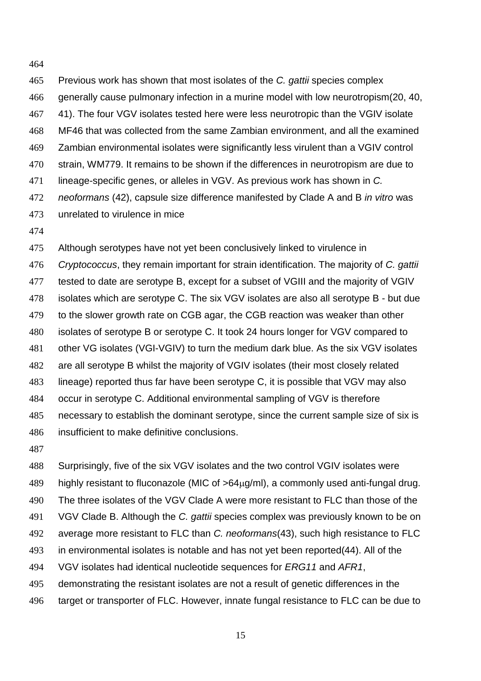Previous work has shown that most isolates of the *C. gattii* species complex generally cause pulmonary infection in a murine model with low neurotropism(20, 40, 41). The four VGV isolates tested here were less neurotropic than the VGIV isolate MF46 that was collected from the same Zambian environment, and all the examined Zambian environmental isolates were significantly less virulent than a VGIV control strain, WM779. It remains to be shown if the differences in neurotropism are due to lineage-specific genes, or alleles in VGV. As previous work has shown in *C. neoformans* (42), capsule size difference manifested by Clade A and B *in vitro* was unrelated to virulence in mice

 Although serotypes have not yet been conclusively linked to virulence in *Cryptococcus*, they remain important for strain identification. The majority of *C. gattii* tested to date are serotype B, except for a subset of VGIII and the majority of VGIV isolates which are serotype C. The six VGV isolates are also all serotype B - but due to the slower growth rate on CGB agar, the CGB reaction was weaker than other isolates of serotype B or serotype C. It took 24 hours longer for VGV compared to other VG isolates (VGI-VGIV) to turn the medium dark blue. As the six VGV isolates are all serotype B whilst the majority of VGIV isolates (their most closely related lineage) reported thus far have been serotype C, it is possible that VGV may also occur in serotype C. Additional environmental sampling of VGV is therefore necessary to establish the dominant serotype, since the current sample size of six is insufficient to make definitive conclusions.

 Surprisingly, five of the six VGV isolates and the two control VGIV isolates were 489 highly resistant to fluconazole (MIC of  $>64<sub>u</sub>q/ml$ ), a commonly used anti-fungal drug. The three isolates of the VGV Clade A were more resistant to FLC than those of the VGV Clade B. Although the *C. gattii* species complex was previously known to be on average more resistant to FLC than *C. neoformans*(43), such high resistance to FLC in environmental isolates is notable and has not yet been reported(44). All of the VGV isolates had identical nucleotide sequences for *ERG11* and *AFR1*, demonstrating the resistant isolates are not a result of genetic differences in the target or transporter of FLC. However, innate fungal resistance to FLC can be due to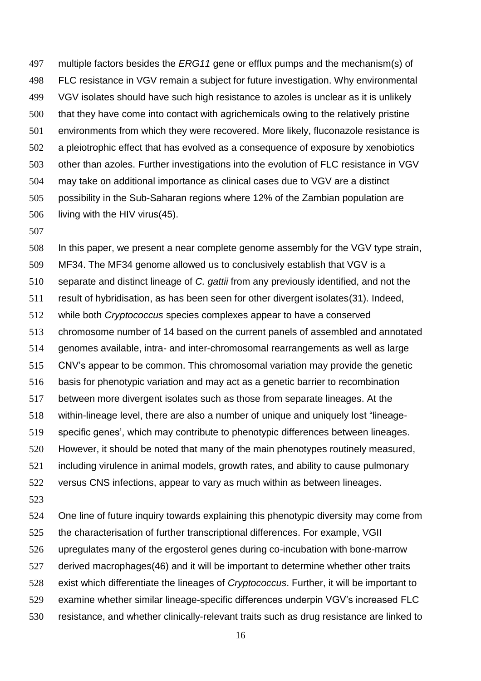multiple factors besides the *ERG11* gene or efflux pumps and the mechanism(s) of FLC resistance in VGV remain a subject for future investigation. Why environmental VGV isolates should have such high resistance to azoles is unclear as it is unlikely that they have come into contact with agrichemicals owing to the relatively pristine environments from which they were recovered. More likely, fluconazole resistance is a pleiotrophic effect that has evolved as a consequence of exposure by xenobiotics other than azoles. Further investigations into the evolution of FLC resistance in VGV may take on additional importance as clinical cases due to VGV are a distinct possibility in the Sub-Saharan regions where 12% of the Zambian population are living with the HIV virus(45).

 In this paper, we present a near complete genome assembly for the VGV type strain, MF34. The MF34 genome allowed us to conclusively establish that VGV is a separate and distinct lineage of *C. gattii* from any previously identified, and not the result of hybridisation, as has been seen for other divergent isolates(31). Indeed, while both *Cryptococcus* species complexes appear to have a conserved chromosome number of 14 based on the current panels of assembled and annotated genomes available, intra- and inter-chromosomal rearrangements as well as large CNV's appear to be common. This chromosomal variation may provide the genetic basis for phenotypic variation and may act as a genetic barrier to recombination between more divergent isolates such as those from separate lineages. At the within-lineage level, there are also a number of unique and uniquely lost "lineage- specific genes', which may contribute to phenotypic differences between lineages. However, it should be noted that many of the main phenotypes routinely measured, including virulence in animal models, growth rates, and ability to cause pulmonary versus CNS infections, appear to vary as much within as between lineages. 

 One line of future inquiry towards explaining this phenotypic diversity may come from the characterisation of further transcriptional differences. For example, VGII upregulates many of the ergosterol genes during co-incubation with bone-marrow derived macrophages(46) and it will be important to determine whether other traits exist which differentiate the lineages of *Cryptococcus*. Further, it will be important to examine whether similar lineage-specific differences underpin VGV's increased FLC resistance, and whether clinically-relevant traits such as drug resistance are linked to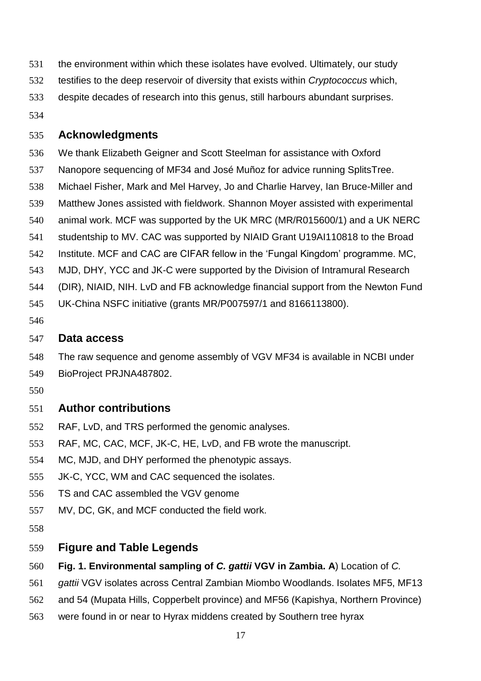- the environment within which these isolates have evolved. Ultimately, our study
- testifies to the deep reservoir of diversity that exists within *Cryptococcus* which,
- despite decades of research into this genus, still harbours abundant surprises.
- 

### **Acknowledgments**

- We thank Elizabeth Geigner and Scott Steelman for assistance with Oxford
- Nanopore sequencing of MF34 and José Muñoz for advice running SplitsTree.
- Michael Fisher, Mark and Mel Harvey, Jo and Charlie Harvey, Ian Bruce-Miller and
- Matthew Jones assisted with fieldwork. Shannon Moyer assisted with experimental
- animal work. MCF was supported by the UK MRC (MR/R015600/1) and a UK NERC
- studentship to MV. CAC was supported by NIAID Grant U19AI110818 to the Broad
- Institute. MCF and CAC are CIFAR fellow in the 'Fungal Kingdom' programme. MC,
- MJD, DHY, YCC and JK-C were supported by the Division of Intramural Research
- (DIR), NIAID, NIH. LvD and FB acknowledge financial support from the Newton Fund
- UK-China NSFC initiative (grants MR/P007597/1 and 8166113800).
- 

## **Data access**

- The raw sequence and genome assembly of VGV MF34 is available in NCBI under
- BioProject PRJNA487802.
- 

# **Author contributions**

- RAF, LvD, and TRS performed the genomic analyses.
- RAF, MC, CAC, MCF, JK-C, HE, LvD, and FB wrote the manuscript.
- MC, MJD, and DHY performed the phenotypic assays.
- JK-C, YCC, WM and CAC sequenced the isolates.
- TS and CAC assembled the VGV genome
- MV, DC, GK, and MCF conducted the field work.
- 

# **Figure and Table Legends**

- **Fig. 1. Environmental sampling of** *C. gattii* **VGV in Zambia. A**) Location of *C.*
- *gattii* VGV isolates across Central Zambian Miombo Woodlands. Isolates MF5, MF13
- and 54 (Mupata Hills, Copperbelt province) and MF56 (Kapishya, Northern Province)
- were found in or near to Hyrax middens created by Southern tree hyrax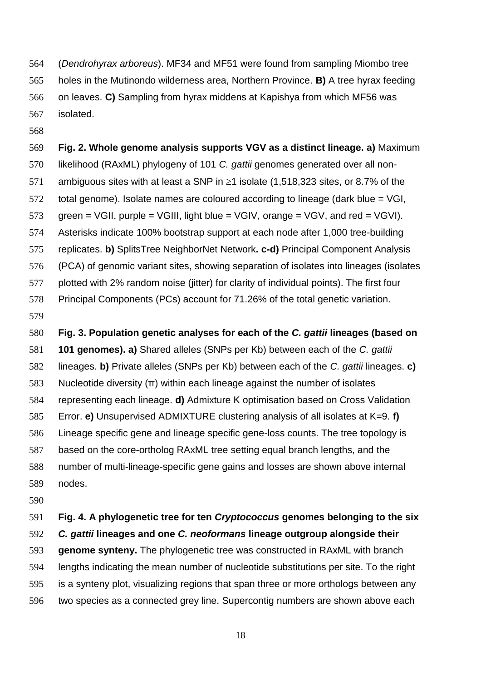(*Dendrohyrax arboreus*). MF34 and MF51 were found from sampling Miombo tree holes in the Mutinondo wilderness area, Northern Province. **B)** A tree hyrax feeding on leaves. **C)** Sampling from hyrax middens at Kapishya from which MF56 was isolated.

# **Fig. 2. Whole genome analysis supports VGV as a distinct lineage. a)** Maximum likelihood (RAxML) phylogeny of 101 *C. gattii* genomes generated over all non-571 ambiguous sites with at least a SNP in  $\geq$ 1 isolate (1,518,323 sites, or 8.7% of the total genome). Isolate names are coloured according to lineage (dark blue = VGI, 573 green = VGII, purple = VGIII, light blue = VGIV, orange = VGV, and red = VGVI). Asterisks indicate 100% bootstrap support at each node after 1,000 tree-building replicates. **b)** SplitsTree NeighborNet Network**. c-d)** Principal Component Analysis (PCA) of genomic variant sites, showing separation of isolates into lineages (isolates plotted with 2% random noise (jitter) for clarity of individual points). The first four Principal Components (PCs) account for 71.26% of the total genetic variation.

**Fig. 3. Population genetic analyses for each of the** *C. gattii* **lineages (based on** 

 **101 genomes). a)** Shared alleles (SNPs per Kb) between each of the *C. gattii* lineages. **b)** Private alleles (SNPs per Kb) between each of the *C. gattii* lineages. **c)**  583 Nucleotide diversity  $(π)$  within each lineage against the number of isolates representing each lineage. **d)** Admixture K optimisation based on Cross Validation Error. **e)** Unsupervised ADMIXTURE clustering analysis of all isolates at K=9. **f)**  Lineage specific gene and lineage specific gene-loss counts. The tree topology is based on the core-ortholog RAxML tree setting equal branch lengths, and the number of multi-lineage-specific gene gains and losses are shown above internal nodes.

# **Fig. 4. A phylogenetic tree for ten** *Cryptococcus* **genomes belonging to the six**  *C. gattii* **lineages and one** *C. neoformans* **lineage outgroup alongside their genome synteny.** The phylogenetic tree was constructed in RAxML with branch lengths indicating the mean number of nucleotide substitutions per site. To the right is a synteny plot, visualizing regions that span three or more orthologs between any

two species as a connected grey line. Supercontig numbers are shown above each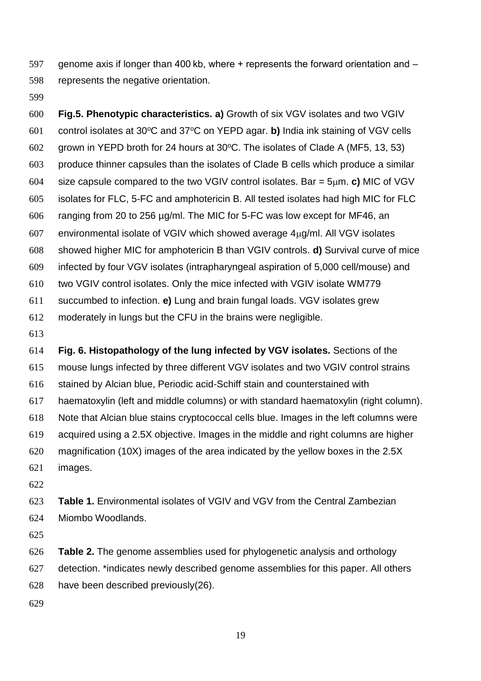597 genome axis if longer than 400 kb, where + represents the forward orientation and – represents the negative orientation.

 **Fig.5. Phenotypic characteristics. a)** Growth of six VGV isolates and two VGIV 601 control isolates at 30°C and 37°C on YEPD agar. **b)** India ink staining of VGV cells 602 grown in YEPD broth for 24 hours at  $30^{\circ}$ C. The isolates of Clade A (MF5, 13, 53) produce thinner capsules than the isolates of Clade B cells which produce a similar size capsule compared to the two VGIV control isolates. Bar = 5m. **c)** MIC of VGV isolates for FLC, 5-FC and amphotericin B. All tested isolates had high MIC for FLC ranging from 20 to 256 µg/ml. The MIC for 5-FC was low except for MF46, an 607 environmental isolate of VGIV which showed average  $4\mu$ g/ml. All VGV isolates showed higher MIC for amphotericin B than VGIV controls. **d)** Survival curve of mice infected by four VGV isolates (intrapharyngeal aspiration of 5,000 cell/mouse) and two VGIV control isolates. Only the mice infected with VGIV isolate WM779 succumbed to infection. **e)** Lung and brain fungal loads. VGV isolates grew moderately in lungs but the CFU in the brains were negligible.

 **Fig. 6. Histopathology of the lung infected by VGV isolates.** Sections of the mouse lungs infected by three different VGV isolates and two VGIV control strains stained by Alcian blue, Periodic acid-Schiff stain and counterstained with haematoxylin (left and middle columns) or with standard haematoxylin (right column). Note that Alcian blue stains cryptococcal cells blue. Images in the left columns were acquired using a 2.5X objective. Images in the middle and right columns are higher magnification (10X) images of the area indicated by the yellow boxes in the 2.5X images.

 **Table 1.** Environmental isolates of VGIV and VGV from the Central Zambezian Miombo Woodlands.

 **Table 2.** The genome assemblies used for phylogenetic analysis and orthology detection. \*indicates newly described genome assemblies for this paper. All others have been described previously(26).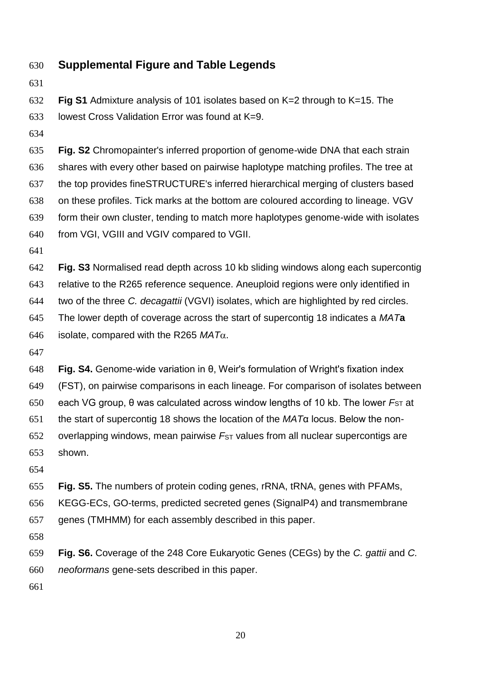- **Supplemental Figure and Table Legends**
- 

**Fig S1** Admixture analysis of 101 isolates based on K=2 through to K=15. The

lowest Cross Validation Error was found at K=9.

 **Fig. S2** Chromopainter's inferred proportion of genome-wide DNA that each strain shares with every other based on pairwise haplotype matching profiles. The tree at the top provides fineSTRUCTURE's inferred hierarchical merging of clusters based on these profiles. Tick marks at the bottom are coloured according to lineage. VGV form their own cluster, tending to match more haplotypes genome-wide with isolates from VGI, VGIII and VGIV compared to VGII.

 **Fig. S3** Normalised read depth across 10 kb sliding windows along each supercontig relative to the R265 reference sequence. Aneuploid regions were only identified in two of the three *C. decagattii* (VGVI) isolates, which are highlighted by red circles. The lower depth of coverage across the start of supercontig 18 indicates a *MAT***a** 646 isolate, compared with the R265 *.* 

 **Fig. S4.** Genome-wide variation in θ, Weir's formulation of Wright's fixation index (FST), on pairwise comparisons in each lineage. For comparison of isolates between each VG group, θ was calculated across window lengths of 10 kb. The lower *F*ST at the start of supercontig 18 shows the location of the *MAT*α locus. Below the non- overlapping windows, mean pairwise *F*ST values from all nuclear supercontigs are shown.

**Fig. S5.** The numbers of protein coding genes, rRNA, tRNA, genes with PFAMs,

KEGG-ECs, GO-terms, predicted secreted genes (SignalP4) and transmembrane

- genes (TMHMM) for each assembly described in this paper.
- 

 **Fig. S6.** Coverage of the 248 Core Eukaryotic Genes (CEGs) by the *C. gattii* and *C. neoformans* gene-sets described in this paper.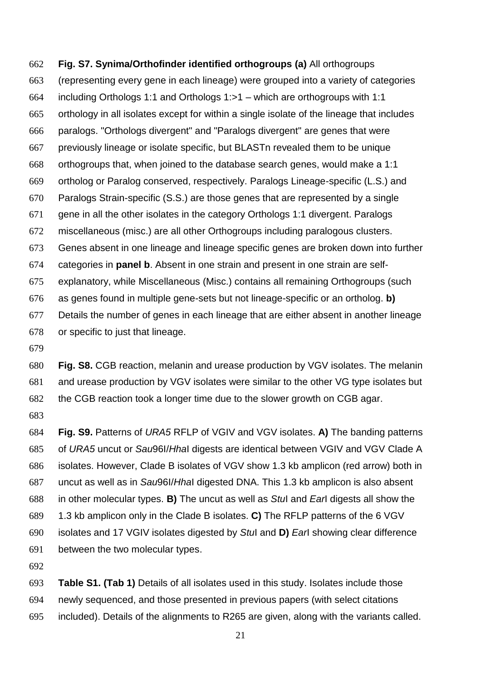# **Fig. S7. Synima/Orthofinder identified orthogroups (a)** All orthogroups (representing every gene in each lineage) were grouped into a variety of categories including Orthologs 1:1 and Orthologs 1:>1 – which are orthogroups with 1:1 orthology in all isolates except for within a single isolate of the lineage that includes paralogs. "Orthologs divergent" and "Paralogs divergent" are genes that were previously lineage or isolate specific, but BLASTn revealed them to be unique orthogroups that, when joined to the database search genes, would make a 1:1 ortholog or Paralog conserved, respectively. Paralogs Lineage-specific (L.S.) and Paralogs Strain-specific (S.S.) are those genes that are represented by a single gene in all the other isolates in the category Orthologs 1:1 divergent. Paralogs miscellaneous (misc.) are all other Orthogroups including paralogous clusters. Genes absent in one lineage and lineage specific genes are broken down into further categories in **panel b**. Absent in one strain and present in one strain are self- explanatory, while Miscellaneous (Misc.) contains all remaining Orthogroups (such as genes found in multiple gene-sets but not lineage-specific or an ortholog. **b)** Details the number of genes in each lineage that are either absent in another lineage or specific to just that lineage.

 **Fig. S8.** CGB reaction, melanin and urease production by VGV isolates. The melanin and urease production by VGV isolates were similar to the other VG type isolates but the CGB reaction took a longer time due to the slower growth on CGB agar.

 **Fig. S9.** Patterns of *URA5* RFLP of VGIV and VGV isolates. **A)** The banding patterns of *URA5* uncut or *Sau*96I/*Hha*I digests are identical between VGIV and VGV Clade A isolates. However, Clade B isolates of VGV show 1.3 kb amplicon (red arrow) both in uncut as well as in *Sau*96I/*Hha*I digested DNA. This 1.3 kb amplicon is also absent in other molecular types. **B)** The uncut as well as *Stu*I and *Ear*I digests all show the 1.3 kb amplicon only in the Clade B isolates. **C)** The RFLP patterns of the 6 VGV isolates and 17 VGIV isolates digested by *Stu*I and **D)** *Ear*I showing clear difference between the two molecular types.

 **Table S1. (Tab 1)** Details of all isolates used in this study. Isolates include those newly sequenced, and those presented in previous papers (with select citations included). Details of the alignments to R265 are given, along with the variants called.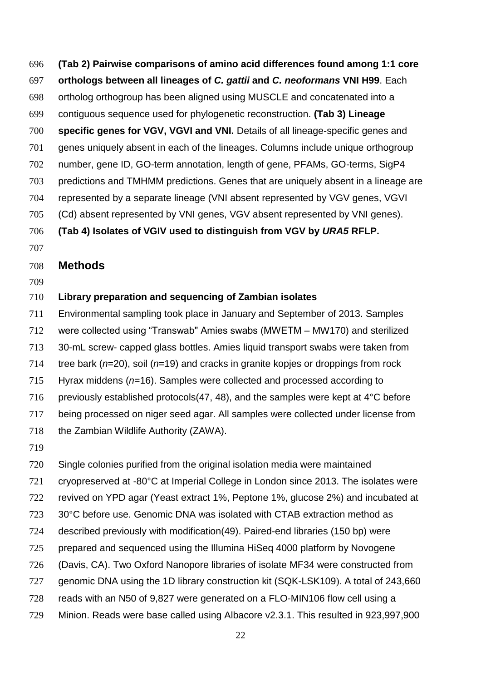**(Tab 2) Pairwise comparisons of amino acid differences found among 1:1 core orthologs between all lineages of** *C. gattii* **and** *C. neoformans* **VNI H99**. Each ortholog orthogroup has been aligned using MUSCLE and concatenated into a contiguous sequence used for phylogenetic reconstruction. **(Tab 3) Lineage specific genes for VGV, VGVI and VNI.** Details of all lineage-specific genes and genes uniquely absent in each of the lineages. Columns include unique orthogroup number, gene ID, GO-term annotation, length of gene, PFAMs, GO-terms, SigP4 predictions and TMHMM predictions. Genes that are uniquely absent in a lineage are represented by a separate lineage (VNI absent represented by VGV genes, VGVI (Cd) absent represented by VNI genes, VGV absent represented by VNI genes).

### **(Tab 4) Isolates of VGIV used to distinguish from VGV by** *URA5* **RFLP.**

### **Methods**

## **Library preparation and sequencing of Zambian isolates**

 Environmental sampling took place in January and September of 2013. Samples were collected using "Transwab" Amies swabs (MWETM – MW170) and sterilized 30-mL screw- capped glass bottles. Amies liquid transport swabs were taken from tree bark (*n*=20), soil (*n*=19) and cracks in granite kopjes or droppings from rock Hyrax middens (*n*=16). Samples were collected and processed according to 716 previously established protocols(47, 48), and the samples were kept at  $4^{\circ}$ C before

being processed on niger seed agar. All samples were collected under license from

- 718 the Zambian Wildlife Authority (ZAWA).
- 

Single colonies purified from the original isolation media were maintained

cryopreserved at -80°C at Imperial College in London since 2013. The isolates were

revived on YPD agar (Yeast extract 1%, Peptone 1%, glucose 2%) and incubated at

- 30°C before use. Genomic DNA was isolated with CTAB extraction method as
- described previously with modification(49). Paired-end libraries (150 bp) were
- prepared and sequenced using the Illumina HiSeq 4000 platform by Novogene
- (Davis, CA). Two Oxford Nanopore libraries of isolate MF34 were constructed from
- 727 genomic DNA using the 1D library construction kit (SQK-LSK109). A total of 243,660
- reads with an N50 of 9,827 were generated on a FLO-MIN106 flow cell using a
- Minion. Reads were base called using Albacore v2.3.1. This resulted in 923,997,900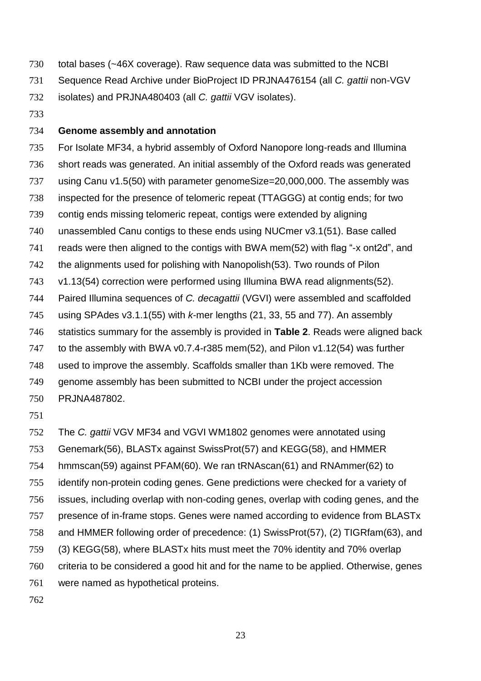total bases (~46X coverage). Raw sequence data was submitted to the NCBI

Sequence Read Archive under BioProject ID PRJNA476154 (all *C. gattii* non-VGV

isolates) and PRJNA480403 (all *C. gattii* VGV isolates).

### **Genome assembly and annotation**

 For Isolate MF34, a hybrid assembly of Oxford Nanopore long-reads and Illumina short reads was generated. An initial assembly of the Oxford reads was generated 737 using Canu v1.5(50) with parameter genomeSize=20,000,000. The assembly was inspected for the presence of telomeric repeat (TTAGGG) at contig ends; for two contig ends missing telomeric repeat, contigs were extended by aligning unassembled Canu contigs to these ends using NUCmer v3.1(51). Base called reads were then aligned to the contigs with BWA mem(52) with flag "-x ont2d", and the alignments used for polishing with Nanopolish(53). Two rounds of Pilon v1.13(54) correction were performed using Illumina BWA read alignments(52). Paired Illumina sequences of *C. decagattii* (VGVI) were assembled and scaffolded using SPAdes v3.1.1(55) with *k*-mer lengths (21, 33, 55 and 77). An assembly statistics summary for the assembly is provided in **Table 2**. Reads were aligned back to the assembly with BWA v0.7.4-r385 mem(52), and Pilon v1.12(54) was further used to improve the assembly. Scaffolds smaller than 1Kb were removed. The genome assembly has been submitted to NCBI under the project accession PRJNA487802.

 The *C. gattii* VGV MF34 and VGVI WM1802 genomes were annotated using Genemark(56), BLASTx against SwissProt(57) and KEGG(58), and HMMER hmmscan(59) against PFAM(60). We ran tRNAscan(61) and RNAmmer(62) to identify non-protein coding genes. Gene predictions were checked for a variety of issues, including overlap with non-coding genes, overlap with coding genes, and the presence of in-frame stops. Genes were named according to evidence from BLASTx and HMMER following order of precedence: (1) SwissProt(57), (2) TIGRfam(63), and (3) KEGG(58), where BLASTx hits must meet the 70% identity and 70% overlap criteria to be considered a good hit and for the name to be applied. Otherwise, genes were named as hypothetical proteins.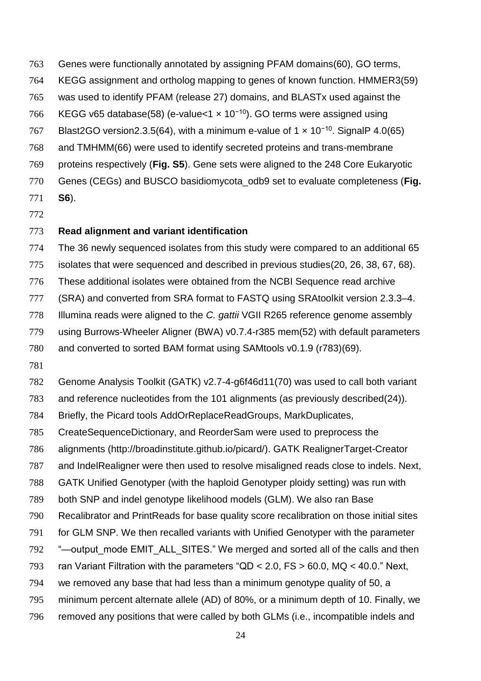- Genes were functionally annotated by assigning PFAM domains(60), GO terms,
- KEGG assignment and ortholog mapping to genes of known function. HMMER3(59)
- was used to identify PFAM (release 27) domains, and BLASTx used against the
- 766 KEGG v65 database(58) (e-value<1 x 10<sup>-10</sup>). GO terms were assigned using
- Blast2GO version 2.3.5(64), with a minimum e-value of 1  $\times$  10<sup>-10</sup>. Signal P4.0(65)
- and TMHMM(66) were used to identify secreted proteins and trans-membrane
- proteins respectively (**Fig. S5**). Gene sets were aligned to the 248 Core Eukaryotic
- Genes (CEGs) and BUSCO basidiomycota\_odb9 set to evaluate completeness (**Fig.**
- **S6**).
- **Read alignment and variant identification**
- The 36 newly sequenced isolates from this study were compared to an additional 65
- isolates that were sequenced and described in previous studies(20, 26, 38, 67, 68).
- These additional isolates were obtained from the NCBI Sequence read archive
- (SRA) and converted from SRA format to FASTQ using SRAtoolkit version 2.3.3–4.
- Illumina reads were aligned to the *C. gattii* VGII R265 reference genome assembly
- using Burrows-Wheeler Aligner (BWA) v0.7.4-r385 mem(52) with default parameters
- and converted to sorted BAM format using SAMtools v0.1.9 (r783)(69).
- 
- Genome Analysis Toolkit (GATK) v2.7-4-g6f46d11(70) was used to call both variant
- and reference nucleotides from the 101 alignments (as previously described(24)).
- Briefly, the Picard tools AddOrReplaceReadGroups, MarkDuplicates,
- CreateSequenceDictionary, and ReorderSam were used to preprocess the
- alignments (http://broadinstitute.github.io/picard/). GATK RealignerTarget-Creator
- and IndelRealigner were then used to resolve misaligned reads close to indels. Next,
- GATK Unified Genotyper (with the haploid Genotyper ploidy setting) was run with
- both SNP and indel genotype likelihood models (GLM). We also ran Base
- Recalibrator and PrintReads for base quality score recalibration on those initial sites
- for GLM SNP. We then recalled variants with Unified Genotyper with the parameter
- 792 "—output mode EMIT ALL SITES." We merged and sorted all of the calls and then
- ran Variant Filtration with the parameters "QD < 2.0, FS > 60.0, MQ < 40.0." Next,
- we removed any base that had less than a minimum genotype quality of 50, a
- minimum percent alternate allele (AD) of 80%, or a minimum depth of 10. Finally, we
- removed any positions that were called by both GLMs (i.e., incompatible indels and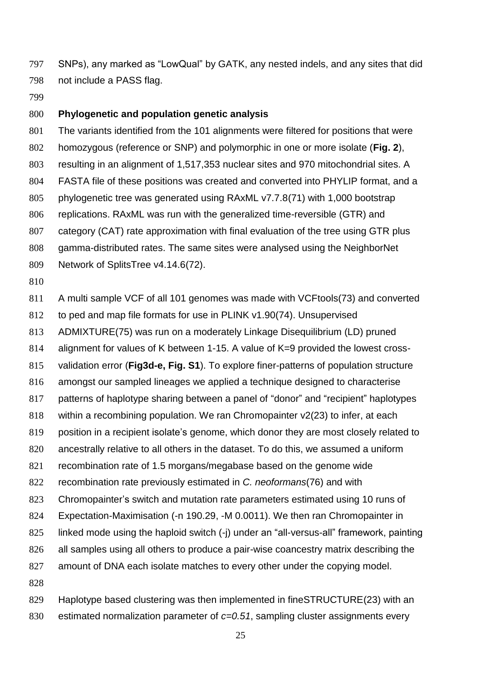SNPs), any marked as "LowQual" by GATK, any nested indels, and any sites that did not include a PASS flag.

### **Phylogenetic and population genetic analysis**

 The variants identified from the 101 alignments were filtered for positions that were homozygous (reference or SNP) and polymorphic in one or more isolate (**Fig. 2**), resulting in an alignment of 1,517,353 nuclear sites and 970 mitochondrial sites. A FASTA file of these positions was created and converted into PHYLIP format, and a phylogenetic tree was generated using RAxML v7.7.8(71) with 1,000 bootstrap replications. RAxML was run with the generalized time-reversible (GTR) and category (CAT) rate approximation with final evaluation of the tree using GTR plus gamma-distributed rates. The same sites were analysed using the NeighborNet Network of SplitsTree v4.14.6(72).

A multi sample VCF of all 101 genomes was made with VCFtools(73) and converted

to ped and map file formats for use in PLINK v1.90(74). Unsupervised

ADMIXTURE(75) was run on a moderately Linkage Disequilibrium (LD) pruned

alignment for values of K between 1-15. A value of K=9 provided the lowest cross-

validation error (**Fig3d-e, Fig. S1**). To explore finer-patterns of population structure

amongst our sampled lineages we applied a technique designed to characterise

patterns of haplotype sharing between a panel of "donor" and "recipient" haplotypes

within a recombining population. We ran Chromopainter v2(23) to infer, at each

position in a recipient isolate's genome, which donor they are most closely related to

ancestrally relative to all others in the dataset. To do this, we assumed a uniform

recombination rate of 1.5 morgans/megabase based on the genome wide

recombination rate previously estimated in *C. neoformans*(76) and with

Chromopainter's switch and mutation rate parameters estimated using 10 runs of

Expectation-Maximisation (-n 190.29, -M 0.0011). We then ran Chromopainter in

linked mode using the haploid switch (-j) under an "all-versus-all" framework, painting

826 all samples using all others to produce a pair-wise coancestry matrix describing the

amount of DNA each isolate matches to every other under the copying model.

 Haplotype based clustering was then implemented in fineSTRUCTURE(23) with an estimated normalization parameter of *c=0.51*, sampling cluster assignments every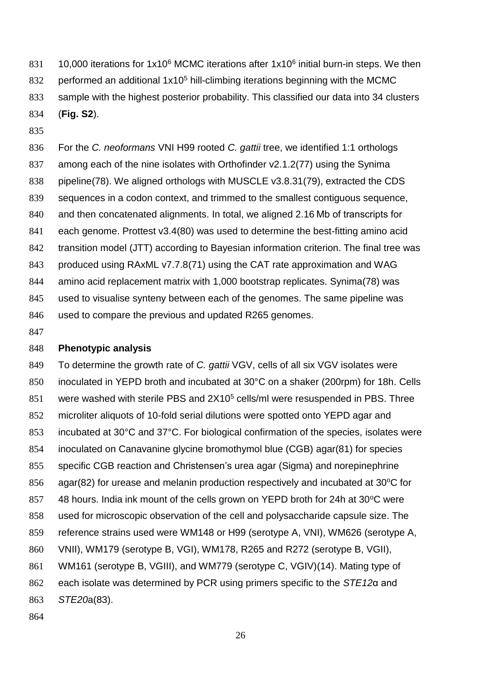831 10,000 iterations for  $1x10^6$  MCMC iterations after  $1x10^6$  initial burn-in steps. We then 832 performed an additional  $1x10<sup>5</sup>$  hill-climbing iterations beginning with the MCMC sample with the highest posterior probability. This classified our data into 34 clusters (**Fig. S2**).

 For the *C. neoformans* VNI H99 rooted *C. gattii* tree, we identified 1:1 orthologs among each of the nine isolates with Orthofinder v2.1.2(77) using the Synima pipeline(78). We aligned orthologs with MUSCLE v3.8.31(79), extracted the CDS sequences in a codon context, and trimmed to the smallest contiguous sequence, and then concatenated alignments. In total, we aligned 2.16 Mb of transcripts for each genome. Prottest v3.4(80) was used to determine the best-fitting amino acid transition model (JTT) according to Bayesian information criterion. The final tree was produced using RAxML v7.7.8(71) using the CAT rate approximation and WAG amino acid replacement matrix with 1,000 bootstrap replicates. Synima(78) was used to visualise synteny between each of the genomes. The same pipeline was used to compare the previous and updated R265 genomes.

#### **Phenotypic analysis**

 To determine the growth rate of *C. gattii* VGV, cells of all six VGV isolates were inoculated in YEPD broth and incubated at 30°C on a shaker (200rpm) for 18h. Cells 851 were washed with sterile PBS and  $2X10<sup>5</sup>$  cells/ml were resuspended in PBS. Three microliter aliquots of 10-fold serial dilutions were spotted onto YEPD agar and incubated at 30°C and 37°C. For biological confirmation of the species, isolates were inoculated on Canavanine glycine bromothymol blue (CGB) agar(81) for species specific CGB reaction and Christensen's urea agar (Sigma) and norepinephrine 856 agar(82) for urease and melanin production respectively and incubated at 30 $\degree$ C for  $\,$  48 hours. India ink mount of the cells grown on YEPD broth for 24h at 30 $\,^{\circ}$ C were used for microscopic observation of the cell and polysaccharide capsule size. The reference strains used were WM148 or H99 (serotype A, VNI), WM626 (serotype A, VNII), WM179 (serotype B, VGI), WM178, R265 and R272 (serotype B, VGII), WM161 (serotype B, VGIII), and WM779 (serotype C, VGIV)(14). Mating type of each isolate was determined by PCR using primers specific to the *STE12*α and *STE20*a(83).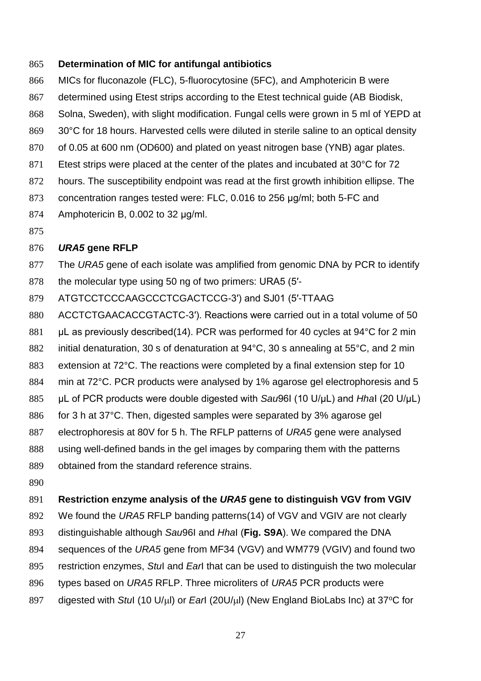### **Determination of MIC for antifungal antibiotics**

- MICs for fluconazole (FLC), 5-fluorocytosine (5FC), and Amphotericin B were determined using Etest strips according to the Etest technical guide (AB Biodisk, Solna, Sweden), with slight modification. Fungal cells were grown in 5 ml of YEPD at 869 30°C for 18 hours. Harvested cells were diluted in sterile saline to an optical density of 0.05 at 600 nm (OD600) and plated on yeast nitrogen base (YNB) agar plates. 871 Etest strips were placed at the center of the plates and incubated at 30°C for 72 hours. The susceptibility endpoint was read at the first growth inhibition ellipse. The
- concentration ranges tested were: FLC, 0.016 to 256 μg/ml; both 5-FC and
- Amphotericin B, 0.002 to 32 μg/ml.
- 

## *URA5* **gene RFLP**

- The *URA5* gene of each isolate was amplified from genomic DNA by PCR to identify the molecular type using 50 ng of two primers: URA5 (5′-
- ATGTCCTCCCAAGCCCTCGACTCCG-3′) and SJ01 (5′-TTAAG
- ACCTCTGAACACCGTACTC-3′). Reactions were carried out in a total volume of 50
- μL as previously described(14). PCR was performed for 40 cycles at 94°C for 2 min
- initial denaturation, 30 s of denaturation at 94°C, 30 s annealing at 55°C, and 2 min
- extension at 72°C. The reactions were completed by a final extension step for 10
- min at 72°C. PCR products were analysed by 1% agarose gel electrophoresis and 5
- μL of PCR products were double digested with *Sau*96I (10 U/μL) and *Hha*I (20 U/μL)
- for 3 h at 37°C. Then, digested samples were separated by 3% agarose gel
- electrophoresis at 80V for 5 h. The RFLP patterns of *URA5* gene were analysed
- using well-defined bands in the gel images by comparing them with the patterns
- obtained from the standard reference strains.
- 

### **Restriction enzyme analysis of the** *URA5* **gene to distinguish VGV from VGIV**

- We found the *URA5* RFLP banding patterns(14) of VGV and VGIV are not clearly
- distinguishable although *Sau*96I and *Hha*I (**Fig. S9A**). We compared the DNA
- sequences of the *URA5* gene from MF34 (VGV) and WM779 (VGIV) and found two
- restriction enzymes, *Stu*I and *Ear*I that can be used to distinguish the two molecular
- types based on *URA5* RFLP. Three microliters of *URA5* PCR products were
- 897 digested with *Stul* (10 U/µl) or *Earl* (20 U/µl) (New England BioLabs Inc) at 37<sup>o</sup>C for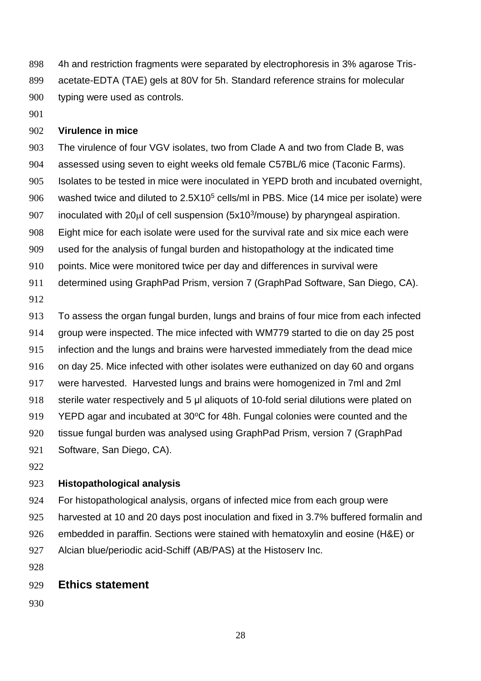4h and restriction fragments were separated by electrophoresis in 3% agarose Tris- acetate-EDTA (TAE) gels at 80V for 5h. Standard reference strains for molecular typing were used as controls.

### **Virulence in mice**

 The virulence of four VGV isolates, two from Clade A and two from Clade B, was assessed using seven to eight weeks old female C57BL/6 mice (Taconic Farms). Isolates to be tested in mice were inoculated in YEPD broth and incubated overnight, 906 washed twice and diluted to  $2.5X10<sup>5</sup>$  cells/ml in PBS. Mice (14 mice per isolate) were 907 inoculated with  $20\mu$  of cell suspension (5x10<sup>3</sup>/mouse) by pharyngeal aspiration. Eight mice for each isolate were used for the survival rate and six mice each were used for the analysis of fungal burden and histopathology at the indicated time points. Mice were monitored twice per day and differences in survival were determined using GraphPad Prism, version 7 (GraphPad Software, San Diego, CA). 

 To assess the organ fungal burden, lungs and brains of four mice from each infected group were inspected. The mice infected with WM779 started to die on day 25 post infection and the lungs and brains were harvested immediately from the dead mice on day 25. Mice infected with other isolates were euthanized on day 60 and organs were harvested. Harvested lungs and brains were homogenized in 7ml and 2ml 918 sterile water respectively and 5 μl aliquots of 10-fold serial dilutions were plated on YEPD agar and incubated at 30 $^{\circ}$ C for 48h. Fungal colonies were counted and the tissue fungal burden was analysed using GraphPad Prism, version 7 (GraphPad Software, San Diego, CA).

#### **Histopathological analysis**

 For histopathological analysis, organs of infected mice from each group were harvested at 10 and 20 days post inoculation and fixed in 3.7% buffered formalin and embedded in paraffin. Sections were stained with hematoxylin and eosine (H&E) or Alcian blue/periodic acid-Schiff (AB/PAS) at the Histoserv Inc.

### **Ethics statement**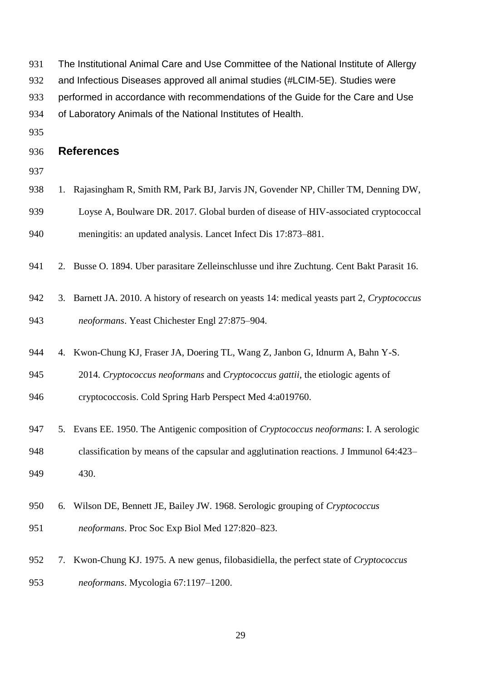- The Institutional Animal Care and Use Committee of the National Institute of Allergy
- and Infectious Diseases approved all animal studies (#LCIM-5E). Studies were
- performed in accordance with recommendations of the Guide for the Care and Use
- of Laboratory Animals of the National Institutes of Health.
- 

### **References**

- 
- 938 1. Rajasingham R, Smith RM, Park BJ, Jarvis JN, Govender NP, Chiller TM, Denning DW, Loyse A, Boulware DR. 2017. Global burden of disease of HIV-associated cryptococcal
- meningitis: an updated analysis. Lancet Infect Dis 17:873–881.
- 2. Busse O. 1894. Uber parasitare Zelleinschlusse und ihre Zuchtung. Cent Bakt Parasit 16.
- 3. Barnett JA. 2010. A history of research on yeasts 14: medical yeasts part 2, *Cryptococcus neoformans*. Yeast Chichester Engl 27:875–904.
- 4. Kwon-Chung KJ, Fraser JA, Doering TL, Wang Z, Janbon G, Idnurm A, Bahn Y-S.
- 2014. *Cryptococcus neoformans* and *Cryptococcus gattii*, the etiologic agents of
- cryptococcosis. Cold Spring Harb Perspect Med 4:a019760.
- 5. Evans EE. 1950. The Antigenic composition of *Cryptococcus neoformans*: I. A serologic classification by means of the capsular and agglutination reactions. J Immunol 64:423– 430.
- 6. Wilson DE, Bennett JE, Bailey JW. 1968. Serologic grouping of *Cryptococcus neoformans*. Proc Soc Exp Biol Med 127:820–823.
- 7. Kwon-Chung KJ. 1975. A new genus, filobasidiella, the perfect state of *Cryptococcus neoformans*. Mycologia 67:1197–1200.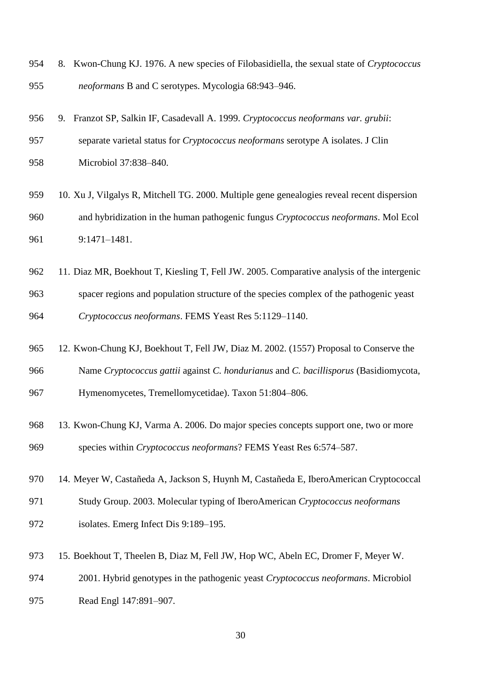| 954 | 8. Kwon-Chung KJ, 1976. A new species of Filobasidiella, the sexual state of <i>Cryptococcus</i> |
|-----|--------------------------------------------------------------------------------------------------|
| 955 | <i>neoformans</i> B and C serotypes. Mycologia 68:943–946.                                       |
|     |                                                                                                  |

 separate varietal status for *Cryptococcus neoformans* serotype A isolates. J Clin Microbiol 37:838–840.

9. Franzot SP, Salkin IF, Casadevall A. 1999. *Cryptococcus neoformans var. grubii*:

- 10. Xu J, Vilgalys R, Mitchell TG. 2000. Multiple gene genealogies reveal recent dispersion and hybridization in the human pathogenic fungus *Cryptococcus neoformans*. Mol Ecol 9:1471–1481.
- 11. Diaz MR, Boekhout T, Kiesling T, Fell JW. 2005. Comparative analysis of the intergenic spacer regions and population structure of the species complex of the pathogenic yeast *Cryptococcus neoformans*. FEMS Yeast Res 5:1129–1140.
- 12. Kwon-Chung KJ, Boekhout T, Fell JW, Diaz M. 2002. (1557) Proposal to Conserve the
- Name *Cryptococcus gattii* against *C. hondurianus* and *C. bacillisporus* (Basidiomycota,
- Hymenomycetes, Tremellomycetidae). Taxon 51:804–806.
- 13. Kwon-Chung KJ, Varma A. 2006. Do major species concepts support one, two or more species within *Cryptococcus neoformans*? FEMS Yeast Res 6:574–587.
- 14. Meyer W, Castañeda A, Jackson S, Huynh M, Castañeda E, IberoAmerican Cryptococcal
- Study Group. 2003. Molecular typing of IberoAmerican *Cryptococcus neoformans*
- isolates. Emerg Infect Dis 9:189–195.
- 15. Boekhout T, Theelen B, Diaz M, Fell JW, Hop WC, Abeln EC, Dromer F, Meyer W.
- 2001. Hybrid genotypes in the pathogenic yeast *Cryptococcus neoformans*. Microbiol
- Read Engl 147:891–907.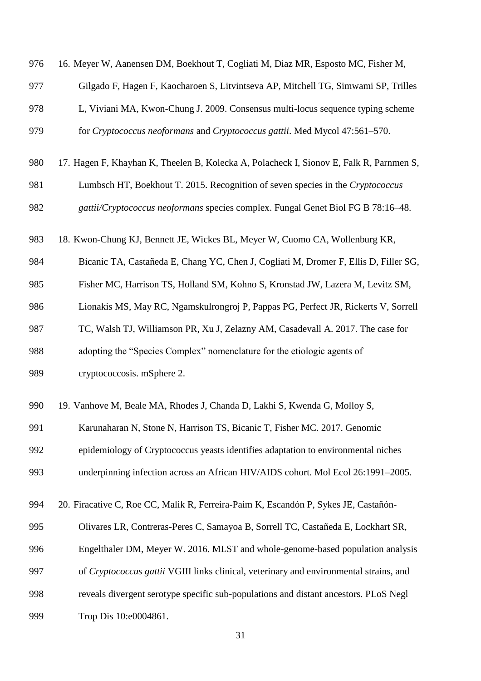| 976 | 16. Meyer W, Aanensen DM, Boekhout T, Cogliati M, Diaz MR, Esposto MC, Fisher M,        |
|-----|-----------------------------------------------------------------------------------------|
| 977 | Gilgado F, Hagen F, Kaocharoen S, Litvintseva AP, Mitchell TG, Simwami SP, Trilles      |
| 978 | L, Viviani MA, Kwon-Chung J. 2009. Consensus multi-locus sequence typing scheme         |
| 979 | for Cryptococcus neoformans and Cryptococcus gattii. Med Mycol 47:561-570.              |
| 980 | 17. Hagen F, Khayhan K, Theelen B, Kolecka A, Polacheck I, Sionov E, Falk R, Parnmen S, |
| 981 | Lumbsch HT, Boekhout T. 2015. Recognition of seven species in the Cryptococcus          |
| 982 | gattii/Cryptococcus neoformans species complex. Fungal Genet Biol FG B 78:16-48.        |
| 983 | 18. Kwon-Chung KJ, Bennett JE, Wickes BL, Meyer W, Cuomo CA, Wollenburg KR,             |
| 984 | Bicanic TA, Castañeda E, Chang YC, Chen J, Cogliati M, Dromer F, Ellis D, Filler SG,    |
| 985 | Fisher MC, Harrison TS, Holland SM, Kohno S, Kronstad JW, Lazera M, Levitz SM,          |
| 986 | Lionakis MS, May RC, Ngamskulrongroj P, Pappas PG, Perfect JR, Rickerts V, Sorrell      |
| 987 | TC, Walsh TJ, Williamson PR, Xu J, Zelazny AM, Casadevall A. 2017. The case for         |
| 988 | adopting the "Species Complex" nomenclature for the etiologic agents of                 |
| 989 | cryptococcosis. mSphere 2.                                                              |
| 990 | 19. Vanhove M, Beale MA, Rhodes J, Chanda D, Lakhi S, Kwenda G, Molloy S,               |
| 991 | Karunaharan N, Stone N, Harrison TS, Bicanic T, Fisher MC. 2017. Genomic                |
| 992 | epidemiology of Cryptococcus yeasts identifies adaptation to environmental niches       |
| 993 | underpinning infection across an African HIV/AIDS cohort. Mol Ecol 26:1991-2005.        |
| 994 | 20. Firacative C, Roe CC, Malik R, Ferreira-Paim K, Escandón P, Sykes JE, Castañón-     |
| 995 | Olivares LR, Contreras-Peres C, Samayoa B, Sorrell TC, Castañeda E, Lockhart SR,        |
| 996 | Engelthaler DM, Meyer W. 2016. MLST and whole-genome-based population analysis          |
| 997 | of Cryptococcus gattii VGIII links clinical, veterinary and environmental strains, and  |
| 998 | reveals divergent serotype specific sub-populations and distant ancestors. PLoS Negl    |
| 999 | Trop Dis 10:e0004861.                                                                   |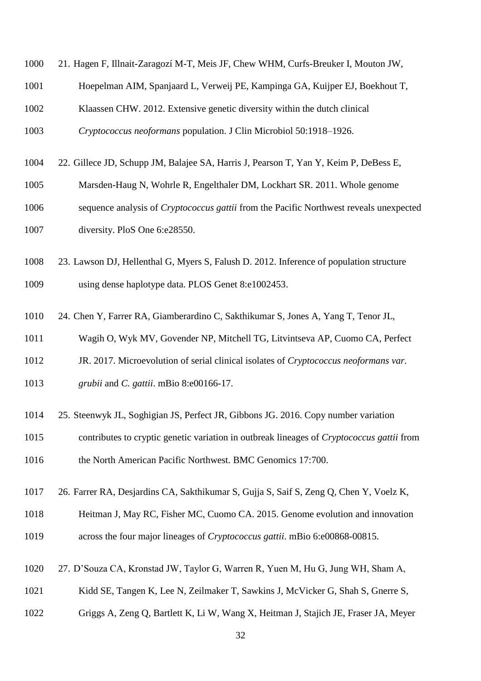| 1000 | 21. Hagen F, Illnait-Zaragozí M-T, Meis JF, Chew WHM, Curfs-Breuker I, Mouton JW,         |
|------|-------------------------------------------------------------------------------------------|
| 1001 | Hoepelman AIM, Spanjaard L, Verweij PE, Kampinga GA, Kuijper EJ, Boekhout T,              |
| 1002 | Klaassen CHW. 2012. Extensive genetic diversity within the dutch clinical                 |
| 1003 | Cryptococcus neoformans population. J Clin Microbiol 50:1918-1926.                        |
| 1004 | 22. Gillece JD, Schupp JM, Balajee SA, Harris J, Pearson T, Yan Y, Keim P, DeBess E,      |
| 1005 | Marsden-Haug N, Wohrle R, Engelthaler DM, Lockhart SR. 2011. Whole genome                 |
| 1006 | sequence analysis of Cryptococcus gattii from the Pacific Northwest reveals unexpected    |
| 1007 | diversity. PloS One 6:e28550.                                                             |
| 1008 | 23. Lawson DJ, Hellenthal G, Myers S, Falush D. 2012. Inference of population structure   |
| 1009 | using dense haplotype data. PLOS Genet 8:e1002453.                                        |
| 1010 | 24. Chen Y, Farrer RA, Giamberardino C, Sakthikumar S, Jones A, Yang T, Tenor JL,         |
| 1011 | Wagih O, Wyk MV, Govender NP, Mitchell TG, Litvintseva AP, Cuomo CA, Perfect              |
| 1012 | JR. 2017. Microevolution of serial clinical isolates of Cryptococcus neoformans var.      |
| 1013 | grubii and C. gattii. mBio 8:e00166-17.                                                   |
| 1014 | 25. Steenwyk JL, Soghigian JS, Perfect JR, Gibbons JG. 2016. Copy number variation        |
| 1015 | contributes to cryptic genetic variation in outbreak lineages of Cryptococcus gattii from |
| 1016 | the North American Pacific Northwest. BMC Genomics 17:700.                                |
| 1017 | 26. Farrer RA, Desjardins CA, Sakthikumar S, Gujja S, Saif S, Zeng Q, Chen Y, Voelz K,    |
| 1018 | Heitman J, May RC, Fisher MC, Cuomo CA. 2015. Genome evolution and innovation             |
| 1019 | across the four major lineages of <i>Cryptococcus gattii</i> . mBio 6:e00868-00815.       |
| 1020 | 27. D'Souza CA, Kronstad JW, Taylor G, Warren R, Yuen M, Hu G, Jung WH, Sham A,           |
| 1021 | Kidd SE, Tangen K, Lee N, Zeilmaker T, Sawkins J, McVicker G, Shah S, Gnerre S,           |

Griggs A, Zeng Q, Bartlett K, Li W, Wang X, Heitman J, Stajich JE, Fraser JA, Meyer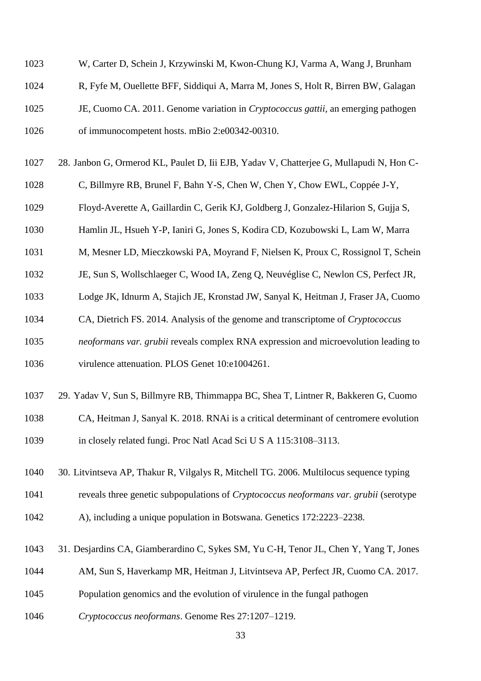- W, Carter D, Schein J, Krzywinski M, Kwon-Chung KJ, Varma A, Wang J, Brunham
- R, Fyfe M, Ouellette BFF, Siddiqui A, Marra M, Jones S, Holt R, Birren BW, Galagan
- JE, Cuomo CA. 2011. Genome variation in *Cryptococcus gattii*, an emerging pathogen
- of immunocompetent hosts. mBio 2:e00342-00310.
- 28. Janbon G, Ormerod KL, Paulet D, Iii EJB, Yadav V, Chatterjee G, Mullapudi N, Hon C-
- C, Billmyre RB, Brunel F, Bahn Y-S, Chen W, Chen Y, Chow EWL, Coppée J-Y,
- Floyd-Averette A, Gaillardin C, Gerik KJ, Goldberg J, Gonzalez-Hilarion S, Gujja S,
- Hamlin JL, Hsueh Y-P, Ianiri G, Jones S, Kodira CD, Kozubowski L, Lam W, Marra
- M, Mesner LD, Mieczkowski PA, Moyrand F, Nielsen K, Proux C, Rossignol T, Schein
- JE, Sun S, Wollschlaeger C, Wood IA, Zeng Q, Neuvéglise C, Newlon CS, Perfect JR,
- Lodge JK, Idnurm A, Stajich JE, Kronstad JW, Sanyal K, Heitman J, Fraser JA, Cuomo
- CA, Dietrich FS. 2014. Analysis of the genome and transcriptome of *Cryptococcus*
- *neoformans var. grubii* reveals complex RNA expression and microevolution leading to
- virulence attenuation. PLOS Genet 10:e1004261.
- 29. Yadav V, Sun S, Billmyre RB, Thimmappa BC, Shea T, Lintner R, Bakkeren G, Cuomo
- CA, Heitman J, Sanyal K. 2018. RNAi is a critical determinant of centromere evolution in closely related fungi. Proc Natl Acad Sci U S A 115:3108–3113.
- 30. Litvintseva AP, Thakur R, Vilgalys R, Mitchell TG. 2006. Multilocus sequence typing
- reveals three genetic subpopulations of *Cryptococcus neoformans var. grubii* (serotype
- A), including a unique population in Botswana. Genetics 172:2223–2238.
- 31. Desjardins CA, Giamberardino C, Sykes SM, Yu C-H, Tenor JL, Chen Y, Yang T, Jones
- AM, Sun S, Haverkamp MR, Heitman J, Litvintseva AP, Perfect JR, Cuomo CA. 2017.
- Population genomics and the evolution of virulence in the fungal pathogen
- *Cryptococcus neoformans*. Genome Res 27:1207–1219.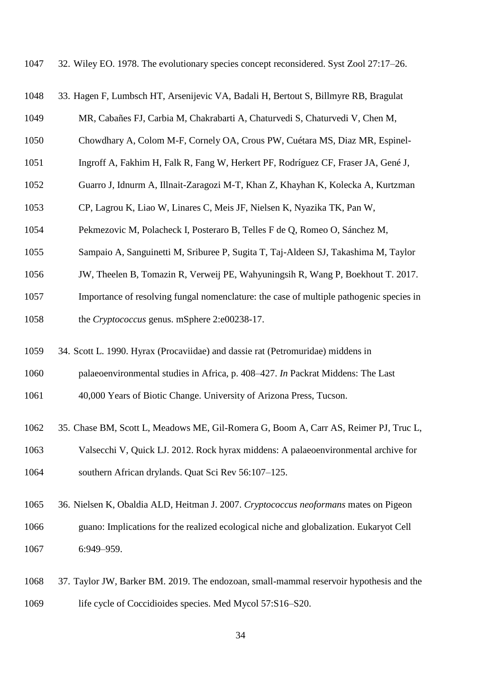32. Wiley EO. 1978. The evolutionary species concept reconsidered. Syst Zool 27:17–26.

- 33. Hagen F, Lumbsch HT, Arsenijevic VA, Badali H, Bertout S, Billmyre RB, Bragulat
- MR, Cabañes FJ, Carbia M, Chakrabarti A, Chaturvedi S, Chaturvedi V, Chen M,
- Chowdhary A, Colom M-F, Cornely OA, Crous PW, Cuétara MS, Diaz MR, Espinel-
- Ingroff A, Fakhim H, Falk R, Fang W, Herkert PF, Rodríguez CF, Fraser JA, Gené J,
- Guarro J, Idnurm A, Illnait-Zaragozi M-T, Khan Z, Khayhan K, Kolecka A, Kurtzman
- CP, Lagrou K, Liao W, Linares C, Meis JF, Nielsen K, Nyazika TK, Pan W,
- Pekmezovic M, Polacheck I, Posteraro B, Telles F de Q, Romeo O, Sánchez M,
- Sampaio A, Sanguinetti M, Sriburee P, Sugita T, Taj-Aldeen SJ, Takashima M, Taylor
- JW, Theelen B, Tomazin R, Verweij PE, Wahyuningsih R, Wang P, Boekhout T. 2017.
- Importance of resolving fungal nomenclature: the case of multiple pathogenic species in
- the *Cryptococcus* genus. mSphere 2:e00238-17.
- 34. Scott L. 1990. Hyrax (Procaviidae) and dassie rat (Petromuridae) middens in
- palaeoenvironmental studies in Africa, p. 408–427. *In* Packrat Middens: The Last
- 40,000 Years of Biotic Change. University of Arizona Press, Tucson.
- 35. Chase BM, Scott L, Meadows ME, Gil-Romera G, Boom A, Carr AS, Reimer PJ, Truc L,
- Valsecchi V, Quick LJ. 2012. Rock hyrax middens: A palaeoenvironmental archive for southern African drylands. Quat Sci Rev 56:107–125.
- 36. Nielsen K, Obaldia ALD, Heitman J. 2007. *Cryptococcus neoformans* mates on Pigeon guano: Implications for the realized ecological niche and globalization. Eukaryot Cell 6:949–959.
- 37. Taylor JW, Barker BM. 2019. The endozoan, small-mammal reservoir hypothesis and the life cycle of Coccidioides species. Med Mycol 57:S16–S20.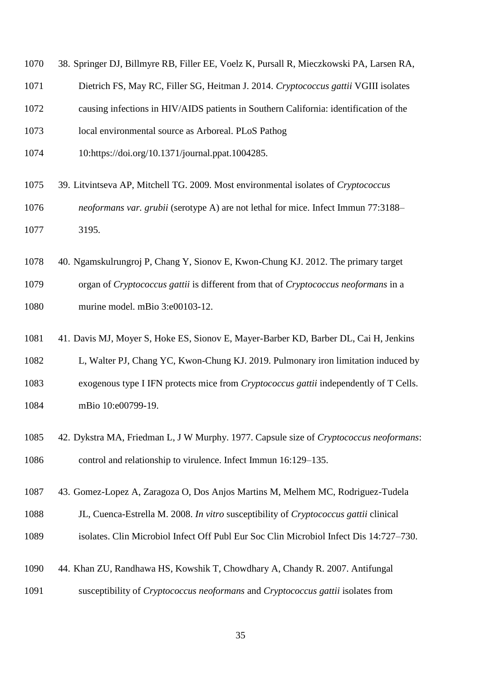- 38. Springer DJ, Billmyre RB, Filler EE, Voelz K, Pursall R, Mieczkowski PA, Larsen RA,
- Dietrich FS, May RC, Filler SG, Heitman J. 2014. *Cryptococcus gattii* VGIII isolates
- causing infections in HIV/AIDS patients in Southern California: identification of the
- local environmental source as Arboreal. PLoS Pathog
- 10:https://doi.org/10.1371/journal.ppat.1004285.
- 39. Litvintseva AP, Mitchell TG. 2009. Most environmental isolates of *Cryptococcus*
- *neoformans var. grubii* (serotype A) are not lethal for mice. Infect Immun 77:3188– 3195.
- 40. Ngamskulrungroj P, Chang Y, Sionov E, Kwon-Chung KJ. 2012. The primary target organ of *Cryptococcus gattii* is different from that of *Cryptococcus neoformans* in a murine model. mBio 3:e00103-12.
- 41. Davis MJ, Moyer S, Hoke ES, Sionov E, Mayer-Barber KD, Barber DL, Cai H, Jenkins
- L, Walter PJ, Chang YC, Kwon-Chung KJ. 2019. Pulmonary iron limitation induced by exogenous type I IFN protects mice from *Cryptococcus gattii* independently of T Cells. 1084 mBio 10:e00799-19.
- 42. Dykstra MA, Friedman L, J W Murphy. 1977. Capsule size of *Cryptococcus neoformans*: control and relationship to virulence. Infect Immun 16:129–135.
- 43. Gomez-Lopez A, Zaragoza O, Dos Anjos Martins M, Melhem MC, Rodriguez-Tudela
- JL, Cuenca-Estrella M. 2008. *In vitro* susceptibility of *Cryptococcus gattii* clinical
- isolates. Clin Microbiol Infect Off Publ Eur Soc Clin Microbiol Infect Dis 14:727–730.
- 44. Khan ZU, Randhawa HS, Kowshik T, Chowdhary A, Chandy R. 2007. Antifungal
- susceptibility of *Cryptococcus neoformans* and *Cryptococcus gattii* isolates from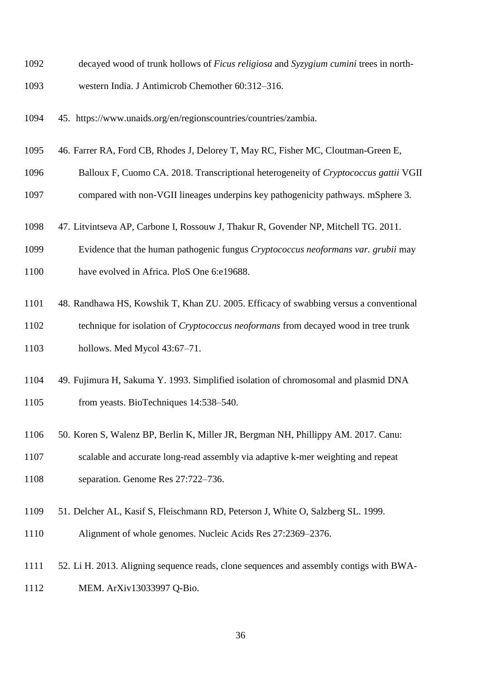- decayed wood of trunk hollows of *Ficus religiosa* and *Syzygium cumini* trees in north-
- western India. J Antimicrob Chemother 60:312–316.
- 45. https://www.unaids.org/en/regionscountries/countries/zambia.
- 46. Farrer RA, Ford CB, Rhodes J, Delorey T, May RC, Fisher MC, Cloutman-Green E,
- Balloux F, Cuomo CA. 2018. Transcriptional heterogeneity of *Cryptococcus gattii* VGII
- compared with non-VGII lineages underpins key pathogenicity pathways. mSphere 3.
- 47. Litvintseva AP, Carbone I, Rossouw J, Thakur R, Govender NP, Mitchell TG. 2011.
- Evidence that the human pathogenic fungus *Cryptococcus neoformans var. grubii* may
- have evolved in Africa. PloS One 6:e19688.
- 48. Randhawa HS, Kowshik T, Khan ZU. 2005. Efficacy of swabbing versus a conventional
- technique for isolation of *Cryptococcus neoformans* from decayed wood in tree trunk hollows. Med Mycol 43:67–71.
- 49. Fujimura H, Sakuma Y. 1993. Simplified isolation of chromosomal and plasmid DNA from yeasts. BioTechniques 14:538–540.
- 50. Koren S, Walenz BP, Berlin K, Miller JR, Bergman NH, Phillippy AM. 2017. Canu:
- scalable and accurate long-read assembly via adaptive k-mer weighting and repeat
- separation. Genome Res 27:722–736.
- 51. Delcher AL, Kasif S, Fleischmann RD, Peterson J, White O, Salzberg SL. 1999.
- Alignment of whole genomes. Nucleic Acids Res 27:2369–2376.
- 52. Li H. 2013. Aligning sequence reads, clone sequences and assembly contigs with BWA-MEM. ArXiv13033997 Q-Bio.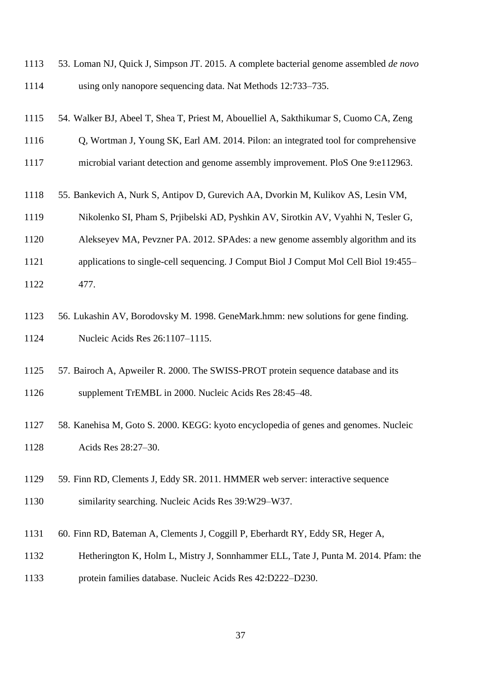|      | 1113 53. Loman NJ, Quick J, Simpson JT. 2015. A complete bacterial genome assembled <i>de novo</i> |
|------|----------------------------------------------------------------------------------------------------|
| 1114 | using only nanopore sequencing data. Nat Methods 12:733–735.                                       |

- 54. Walker BJ, Abeel T, Shea T, Priest M, Abouelliel A, Sakthikumar S, Cuomo CA, Zeng
- Q, Wortman J, Young SK, Earl AM. 2014. Pilon: an integrated tool for comprehensive
- microbial variant detection and genome assembly improvement. PloS One 9:e112963.
- 55. Bankevich A, Nurk S, Antipov D, Gurevich AA, Dvorkin M, Kulikov AS, Lesin VM,
- Nikolenko SI, Pham S, Prjibelski AD, Pyshkin AV, Sirotkin AV, Vyahhi N, Tesler G,
- Alekseyev MA, Pevzner PA. 2012. SPAdes: a new genome assembly algorithm and its
- applications to single-cell sequencing. J Comput Biol J Comput Mol Cell Biol 19:455–
- 477.
- 56. Lukashin AV, Borodovsky M. 1998. GeneMark.hmm: new solutions for gene finding. Nucleic Acids Res 26:1107–1115.
- 57. Bairoch A, Apweiler R. 2000. The SWISS-PROT protein sequence database and its
- supplement TrEMBL in 2000. Nucleic Acids Res 28:45–48.
- 58. Kanehisa M, Goto S. 2000. KEGG: kyoto encyclopedia of genes and genomes. Nucleic Acids Res 28:27–30.
- 59. Finn RD, Clements J, Eddy SR. 2011. HMMER web server: interactive sequence
- similarity searching. Nucleic Acids Res 39:W29–W37.
- 60. Finn RD, Bateman A, Clements J, Coggill P, Eberhardt RY, Eddy SR, Heger A,
- Hetherington K, Holm L, Mistry J, Sonnhammer ELL, Tate J, Punta M. 2014. Pfam: the
- protein families database. Nucleic Acids Res 42:D222–D230.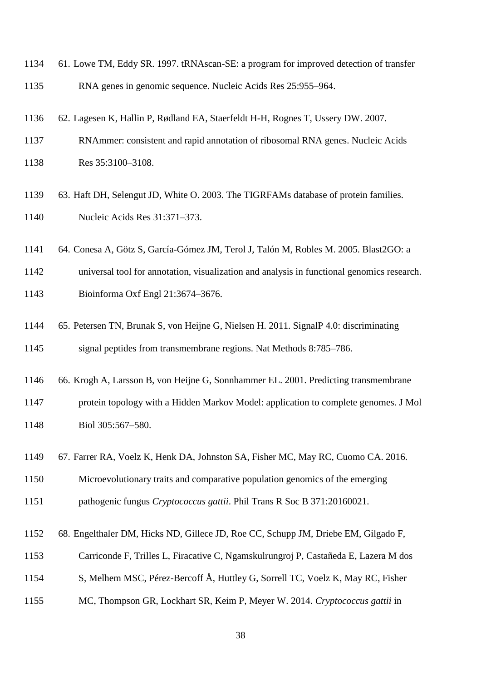- 61. Lowe TM, Eddy SR. 1997. tRNAscan-SE: a program for improved detection of transfer RNA genes in genomic sequence. Nucleic Acids Res 25:955–964.
- 62. Lagesen K, Hallin P, Rødland EA, Staerfeldt H-H, Rognes T, Ussery DW. 2007.
- RNAmmer: consistent and rapid annotation of ribosomal RNA genes. Nucleic Acids Res 35:3100–3108.
- 63. Haft DH, Selengut JD, White O. 2003. The TIGRFAMs database of protein families. Nucleic Acids Res 31:371–373.
- 64. Conesa A, Götz S, García-Gómez JM, Terol J, Talón M, Robles M. 2005. Blast2GO: a
- universal tool for annotation, visualization and analysis in functional genomics research. Bioinforma Oxf Engl 21:3674–3676.
- 65. Petersen TN, Brunak S, von Heijne G, Nielsen H. 2011. SignalP 4.0: discriminating signal peptides from transmembrane regions. Nat Methods 8:785–786.
- 66. Krogh A, Larsson B, von Heijne G, Sonnhammer EL. 2001. Predicting transmembrane protein topology with a Hidden Markov Model: application to complete genomes. J Mol
- Biol 305:567–580.
- 67. Farrer RA, Voelz K, Henk DA, Johnston SA, Fisher MC, May RC, Cuomo CA. 2016.
- Microevolutionary traits and comparative population genomics of the emerging
- pathogenic fungus *Cryptococcus gattii*. Phil Trans R Soc B 371:20160021.
- 68. Engelthaler DM, Hicks ND, Gillece JD, Roe CC, Schupp JM, Driebe EM, Gilgado F,
- Carriconde F, Trilles L, Firacative C, Ngamskulrungroj P, Castañeda E, Lazera M dos
- S, Melhem MSC, Pérez-Bercoff Å, Huttley G, Sorrell TC, Voelz K, May RC, Fisher
- MC, Thompson GR, Lockhart SR, Keim P, Meyer W. 2014. *Cryptococcus gattii* in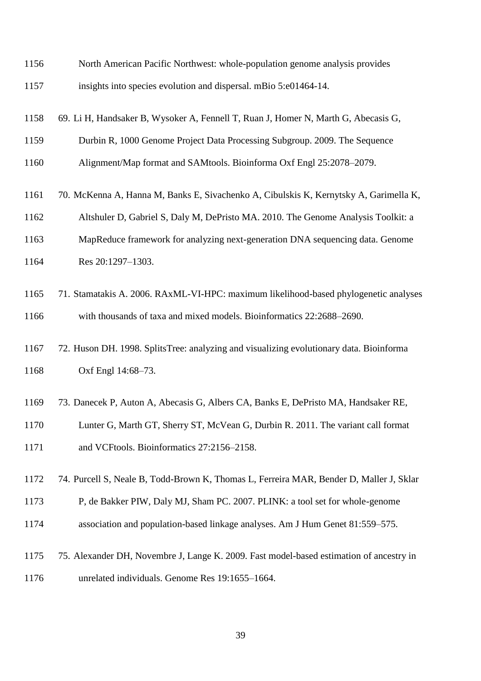- North American Pacific Northwest: whole-population genome analysis provides insights into species evolution and dispersal. mBio 5:e01464-14.
- 69. Li H, Handsaker B, Wysoker A, Fennell T, Ruan J, Homer N, Marth G, Abecasis G,
- Durbin R, 1000 Genome Project Data Processing Subgroup. 2009. The Sequence
- Alignment/Map format and SAMtools. Bioinforma Oxf Engl 25:2078–2079.
- 70. McKenna A, Hanna M, Banks E, Sivachenko A, Cibulskis K, Kernytsky A, Garimella K,
- Altshuler D, Gabriel S, Daly M, DePristo MA. 2010. The Genome Analysis Toolkit: a
- MapReduce framework for analyzing next-generation DNA sequencing data. Genome 1164 Res 20:1297-1303.
- 71. Stamatakis A. 2006. RAxML-VI-HPC: maximum likelihood-based phylogenetic analyses with thousands of taxa and mixed models. Bioinformatics 22:2688–2690.
- 72. Huson DH. 1998. SplitsTree: analyzing and visualizing evolutionary data. Bioinforma Oxf Engl 14:68–73.
- 73. Danecek P, Auton A, Abecasis G, Albers CA, Banks E, DePristo MA, Handsaker RE,
- Lunter G, Marth GT, Sherry ST, McVean G, Durbin R. 2011. The variant call format
- and VCFtools. Bioinformatics 27:2156–2158.
- 74. Purcell S, Neale B, Todd-Brown K, Thomas L, Ferreira MAR, Bender D, Maller J, Sklar
- P, de Bakker PIW, Daly MJ, Sham PC. 2007. PLINK: a tool set for whole-genome
- association and population-based linkage analyses. Am J Hum Genet 81:559–575.
- 75. Alexander DH, Novembre J, Lange K. 2009. Fast model-based estimation of ancestry in unrelated individuals. Genome Res 19:1655–1664.